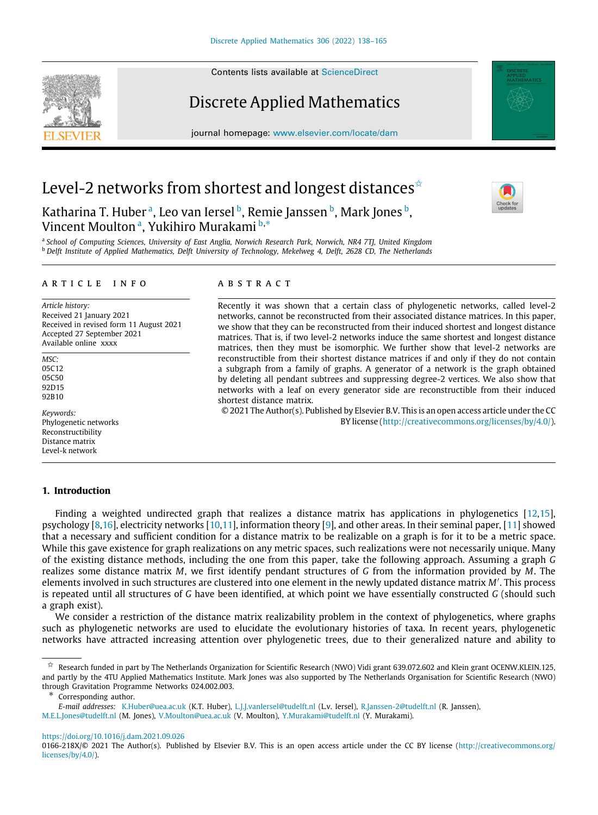Contents lists available at [ScienceDirect](http://www.elsevier.com/locate/dam)

# Discrete Applied Mathematics

journal homepage: [www.elsevier.com/locate/dam](http://www.elsevier.com/locate/dam)

## Level-2 networks from shortest and longest distances<sup> $\dot{\mathbf{x}}$ </sup>

K[a](#page-0-1)tharina T. Hu[b](#page-0-2)er <sup>a</sup>, Leo van Iersel <sup>b</sup>, Remie Janssen <sup>b</sup>, Mark Jones <sup>b</sup>, Vincent Moulton [a](#page-0-1) , Yukihiro Murakami [b](#page-0-2),[∗](#page-0-3)

<span id="page-0-2"></span><span id="page-0-1"></span>a *School of Computing Sciences, University of East Anglia, Norwich Research Park, Norwich, NR4 7TJ, United Kingdom* <sup>b</sup> *Delft Institute of Applied Mathematics, Delft University of Technology, Mekelweg 4, Delft, 2628 CD, The Netherlands*

#### a r t i c l e i n f o

*Article history:* Received 21 January 2021 Received in revised form 11 August 2021 Accepted 27 September 2021 Available online xxxx

*MSC:* 05C12 05C50 92D15 92B10

*Keywords:* Phylogenetic networks Reconstructibility Distance matrix Level-k network

**1. Introduction**

### a b s t r a c t

Recently it was shown that a certain class of phylogenetic networks, called level-2 networks, cannot be reconstructed from their associated distance matrices. In this paper, we show that they can be reconstructed from their induced shortest and longest distance matrices. That is, if two level-2 networks induce the same shortest and longest distance matrices, then they must be isomorphic. We further show that level-2 networks are reconstructible from their shortest distance matrices if and only if they do not contain a subgraph from a family of graphs. A generator of a network is the graph obtained by deleting all pendant subtrees and suppressing degree-2 vertices. We also show that networks with a leaf on every generator side are reconstructible from their induced shortest distance matrix.

© 2021 The Author(s). Published by Elsevier B.V. This is an open access article under the CC BY license ([http://creativecommons.org/licenses/by/4.0/\)](http://creativecommons.org/licenses/by/4.0/).

Finding a weighted undirected graph that realizes a distance matrix has applications in phylogenetics [[12](#page-27-0)[,15\]](#page-27-1), psychology [\[8](#page-27-2)[,16\]](#page-27-3), electricity networks [[10](#page-27-4)[,11\]](#page-27-5), information theory [\[9](#page-27-6)], and other areas. In their seminal paper, [[11](#page-27-5)] showed that a necessary and sufficient condition for a distance matrix to be realizable on a graph is for it to be a metric space. While this gave existence for graph realizations on any metric spaces, such realizations were not necessarily unique. Many of the existing distance methods, including the one from this paper, take the following approach. Assuming a graph *G* realizes some distance matrix *M*, we first identify pendant structures of *G* from the information provided by *M*. The elements involved in such structures are clustered into one element in the newly updated distance matrix *M*′ . This process is repeated until all structures of *G* have been identified, at which point we have essentially constructed *G* (should such a graph exist).

We consider a restriction of the distance matrix realizability problem in the context of phylogenetics, where graphs such as phylogenetic networks are used to elucidate the evolutionary histories of taxa. In recent years, phylogenetic networks have attracted increasing attention over phylogenetic trees, due to their generalized nature and ability to

<span id="page-0-3"></span>Corresponding author.

*E-mail addresses:* [K.Huber@uea.ac.uk](mailto:K.Huber@uea.ac.uk) (K.T. Huber), [L.J.J.vanIersel@tudelft.nl](mailto:L.J.J.vanIersel@tudelft.nl) (L.v. Iersel), [R.Janssen-2@tudelft.nl](mailto:R.Janssen-2@tudelft.nl) (R. Janssen),

[M.E.L.Jones@tudelft.nl](mailto:M.E.L.Jones@tudelft.nl) (M. Jones), [V.Moulton@uea.ac.uk](mailto:V.Moulton@uea.ac.uk) (V. Moulton), [Y.Murakami@tudelft.nl](mailto:Y.Murakami@tudelft.nl) (Y. Murakami).

<https://doi.org/10.1016/j.dam.2021.09.026>







<span id="page-0-0"></span> $\overrightarrow{x}$  Research funded in part by The Netherlands Organization for Scientific Research (NWO) Vidi grant 639.072.602 and Klein grant OCENW.KLEIN.125, and partly by the 4TU Applied Mathematics Institute. Mark Jones was also supported by The Netherlands Organisation for Scientific Research (NWO) through Gravitation Programme Networks 024.002.003.

<sup>0166-218</sup>X/© 2021 The Author(s). Published by Elsevier B.V. This is an open access article under the CC BY license ([http://creativecommons.org/](http://creativecommons.org/licenses/by/4.0/) [licenses/by/4.0/](http://creativecommons.org/licenses/by/4.0/)).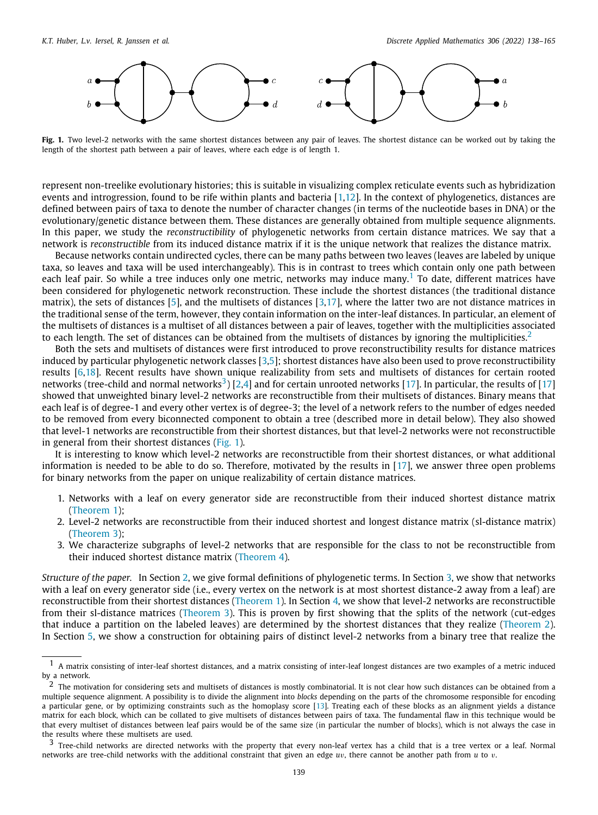

<span id="page-1-3"></span>**Fig. 1.** Two level-2 networks with the same shortest distances between any pair of leaves. The shortest distance can be worked out by taking the length of the shortest path between a pair of leaves, where each edge is of length 1.

represent non-treelike evolutionary histories; this is suitable in visualizing complex reticulate events such as hybridization events and introgression, found to be rife within plants and bacteria [[1](#page-27-7)[,12\]](#page-27-0). In the context of phylogenetics, distances are defined between pairs of taxa to denote the number of character changes (in terms of the nucleotide bases in DNA) or the evolutionary/genetic distance between them. These distances are generally obtained from multiple sequence alignments. In this paper, we study the *reconstructibility* of phylogenetic networks from certain distance matrices. We say that a network is *reconstructible* from its induced distance matrix if it is the unique network that realizes the distance matrix.

<span id="page-1-0"></span>Because networks contain undirected cycles, there can be many paths between two leaves (leaves are labeled by unique taxa, so leaves and taxa will be used interchangeably). This is in contrast to trees which contain only one path between each leaf pair. So while a tree induces only one metric, networks may induce many.<sup>[1](#page-1-0)</sup> To date, different matrices have been considered for phylogenetic network reconstruction. These include the shortest distances (the traditional distance matrix), the sets of distances  $[5]$  $[5]$ , and the multisets of distances  $[3,17]$  $[3,17]$ , where the latter two are not distance matrices in the traditional sense of the term, however, they contain information on the inter-leaf distances. In particular, an element of the multisets of distances is a multiset of all distances between a pair of leaves, together with the multiplicities associated to each length. The set of distances can be obtained from the multisets of distances by ignoring the multiplicities.<sup>[2](#page-1-1)</sup>

<span id="page-1-2"></span><span id="page-1-1"></span>Both the sets and multisets of distances were first introduced to prove reconstructibility results for distance matrices induced by particular phylogenetic network classes [[3](#page-27-9)[,5](#page-27-8)]; shortest distances have also been used to prove reconstructibility results [[6,](#page-27-11)[18](#page-27-12)]. Recent results have shown unique realizability from sets and multisets of distances for certain rooted networks (tree-child and normal networks $^3)$  $^3)$  $^3)$  [[2,](#page-27-13)[4](#page-27-14)] and for certain unrooted networks [\[17\]](#page-27-10). In particular, the results of [17] showed that unweighted binary level-2 networks are reconstructible from their multisets of distances. Binary means that each leaf is of degree-1 and every other vertex is of degree-3; the level of a network refers to the number of edges needed to be removed from every biconnected component to obtain a tree (described more in detail below). They also showed that level-1 networks are reconstructible from their shortest distances, but that level-2 networks were not reconstructible in general from their shortest distances [\(Fig.](#page-1-3) [1](#page-1-3)).

It is interesting to know which level-2 networks are reconstructible from their shortest distances, or what additional information is needed to be able to do so. Therefore, motivated by the results in [\[17\]](#page-27-10), we answer three open problems for binary networks from the paper on unique realizability of certain distance matrices.

- 1. Networks with a leaf on every generator side are reconstructible from their induced shortest distance matrix ([Theorem](#page-7-0) [1\)](#page-7-0);
- 2. Level-2 networks are reconstructible from their induced shortest and longest distance matrix (sl-distance matrix) ([Theorem](#page-12-0) [3\)](#page-12-0);
- 3. We characterize subgraphs of level-2 networks that are responsible for the class to not be reconstructible from their induced shortest distance matrix [\(Theorem](#page-15-0) [4\)](#page-15-0).

*Structure of the paper.* In Section [2](#page-2-0), we give formal definitions of phylogenetic terms. In Section [3](#page-5-0), we show that networks with a leaf on every generator side (i.e., every vertex on the network is at most shortest distance-2 away from a leaf) are reconstructible from their shortest distances [\(Theorem](#page-7-0) [1\)](#page-7-0). In Section [4,](#page-7-1) we show that level-2 networks are reconstructible from their sl-distance matrices ([Theorem](#page-12-0) [3\)](#page-12-0). This is proven by first showing that the splits of the network (cut-edges that induce a partition on the labeled leaves) are determined by the shortest distances that they realize ([Theorem](#page-7-2) [2\)](#page-7-2). In Section [5,](#page-13-0) we show a construction for obtaining pairs of distinct level-2 networks from a binary tree that realize the

 $1$  A matrix consisting of inter-leaf shortest distances, and a matrix consisting of inter-leaf longest distances are two examples of a metric induced by a network.

<sup>&</sup>lt;sup>2</sup> The motivation for considering sets and multisets of distances is mostly combinatorial. It is not clear how such distances can be obtained from a multiple sequence alignment. A possibility is to divide the alignment into *blocks* depending on the parts of the chromosome responsible for encoding a particular gene, or by optimizing constraints such as the homoplasy score [[13\]](#page-27-15). Treating each of these blocks as an alignment yields a distance matrix for each block, which can be collated to give multisets of distances between pairs of taxa. The fundamental flaw in this technique would be that every multiset of distances between leaf pairs would be of the same size (in particular the number of blocks), which is not always the case in the results where these multisets are used.<br> $\frac{3}{7}$  Tree shild naturalis are directed natural

<sup>3</sup> Tree-child networks are directed networks with the property that every non-leaf vertex has a child that is a tree vertex or a leaf. Normal networks are tree-child networks with the additional constraint that given an edge *u*v, there cannot be another path from *u* to v.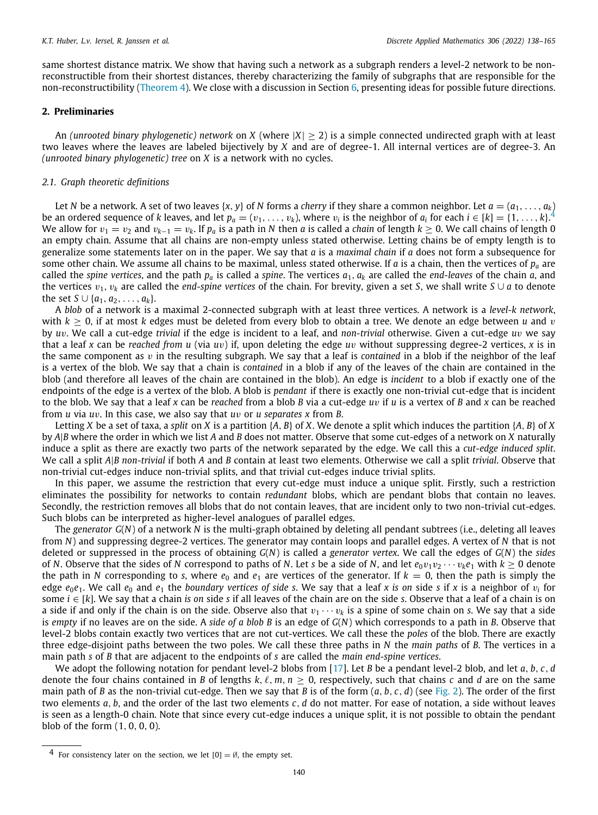same shortest distance matrix. We show that having such a network as a subgraph renders a level-2 network to be nonreconstructible from their shortest distances, thereby characterizing the family of subgraphs that are responsible for the non-reconstructibility ([Theorem](#page-15-0) [4\)](#page-15-0). We close with a discussion in Section [6,](#page-22-0) presenting ideas for possible future directions.

#### **2. Preliminaries**

<span id="page-2-0"></span>An *(unrooted binary phylogenetic) network* on *X* (where |*X*| ≥ 2) is a simple connected undirected graph with at least two leaves where the leaves are labeled bijectively by *X* and are of degree-1. All internal vertices are of degree-3. An *(unrooted binary phylogenetic) tree* on *X* is a network with no cycles.

#### *2.1. Graph theoretic definitions*

<span id="page-2-1"></span>Let *N* be a network. A set of two leaves  $\{x, y\}$  of *N* forms a *cherry* if they share a common neighbor. Let  $a = (a_1, \ldots, a_k)$ be an ordered sequence of *k* leaves, and let  $p_a=(v_1,\ldots,v_k)$ , where  $v_i$  is the neighbor of  $a_i$  for each  $i\in [k]=\{1,\ldots,k\}^A$ We allow for  $v_1 = v_2$  and  $v_{k-1} = v_k$ . If  $p_a$  is a path in *N* then *a* is called a *chain* of length  $k \ge 0$ . We call chains of length 0 an empty chain. Assume that all chains are non-empty unless stated otherwise. Letting chains be of empty length is to generalize some statements later on in the paper. We say that *a* is a *maximal chain* if *a* does not form a subsequence for some other chain. We assume all chains to be maximal, unless stated otherwise. If *a* is a chain, then the vertices of *p<sup>a</sup>* are called the *spine vertices*, and the path  $p_a$  is called a *spine*. The vertices  $a_1$ ,  $a_k$  are called the *end-leaves* of the chain *a*, and the vertices  $v_1, v_k$  are called the *end-spine vertices* of the chain. For brevity, given a set *S*, we shall write *S* ∪ *a* to denote the set *S*  $\cup$  { $a_1, a_2, \ldots, a_k$ }.

A *blob* of a network is a maximal 2-connected subgraph with at least three vertices. A network is a *level-k network*, with  $k \ge 0$ , if at most k edges must be deleted from every blob to obtain a tree. We denote an edge between *u* and *v* by *u*v. We call a cut-edge *trivial* if the edge is incident to a leaf, and *non-trivial* otherwise. Given a cut-edge *u*v we say that a leaf *x* can be *reached from u* (via *u*v) if, upon deleting the edge *u*v without suppressing degree-2 vertices, *x* is in the same component as  $v$  in the resulting subgraph. We say that a leaf is *contained* in a blob if the neighbor of the leaf is a vertex of the blob. We say that a chain is *contained* in a blob if any of the leaves of the chain are contained in the blob (and therefore all leaves of the chain are contained in the blob). An edge is *incident* to a blob if exactly one of the endpoints of the edge is a vertex of the blob. A blob is *pendant* if there is exactly one non-trivial cut-edge that is incident to the blob. We say that a leaf *x* can be *reached* from a blob *B* via a cut-edge *u*v if *u* is a vertex of *B* and *x* can be reached from *u* via *u*v. In this case, we also say that *u*v or *u separates x* from *B*.

Letting *X* be a set of taxa, a *split* on *X* is a partition {*A*, *B*} of *X*. We denote a split which induces the partition {*A*, *B*} of *X* by *A*|*B* where the order in which we list *A* and *B* does not matter. Observe that some cut-edges of a network on *X* naturally induce a split as there are exactly two parts of the network separated by the edge. We call this a *cut-edge induced split*. We call a split *A*|*B non-trivial* if both *A* and *B* contain at least two elements. Otherwise we call a split *trivial*. Observe that non-trivial cut-edges induce non-trivial splits, and that trivial cut-edges induce trivial splits.

In this paper, we assume the restriction that every cut-edge must induce a unique split. Firstly, such a restriction eliminates the possibility for networks to contain *redundant* blobs, which are pendant blobs that contain no leaves. Secondly, the restriction removes all blobs that do not contain leaves, that are incident only to two non-trivial cut-edges. Such blobs can be interpreted as higher-level analogues of parallel edges.

The *generator G*(*N*) of a network *N* is the multi-graph obtained by deleting all pendant subtrees (i.e., deleting all leaves from *N*) and suppressing degree-2 vertices. The generator may contain loops and parallel edges. A vertex of *N* that is not deleted or suppressed in the process of obtaining *G*(*N*) is called a *generator vertex*. We call the edges of *G*(*N*) the *sides* of *N*. Observe that the sides of *N* correspond to paths of *N*. Let *s* be a side of *N*, and let  $e_0v_1v_2\cdots v_ke_1$  with  $k \ge 0$  denote the path in *N* corresponding to *s*, where  $e_0$  and  $e_1$  are vertices of the generator. If  $k = 0$ , then the path is simply the edge *e*0*e*1. We call *e*<sup>0</sup> and *e*<sup>1</sup> the *boundary vertices of side s*. We say that a leaf *x is on* side *s* if *x* is a neighbor of v*<sup>i</sup>* for some *i* ∈ [*k*]. We say that a chain *is on* side *s* if all leaves of the chain are on the side *s*. Observe that a leaf of a chain is on a side if and only if the chain is on the side. Observe also that  $v_1 \cdots v_k$  is a spine of some chain on *s*. We say that a side is *empty* if no leaves are on the side. A *side of a blob B* is an edge of *G*(*N*) which corresponds to a path in *B*. Observe that level-2 blobs contain exactly two vertices that are not cut-vertices. We call these the *poles* of the blob. There are exactly three edge-disjoint paths between the two poles. We call these three paths in *N* the *main paths* of *B*. The vertices in a main path *s* of *B* that are adjacent to the endpoints of *s* are called the *main end-spine vertices*.

We adopt the following notation for pendant level-2 blobs from [\[17\]](#page-27-10). Let *B* be a pendant level-2 blob, and let *a*, *b*, *c*, *d* denote the four chains contained in *B* of lengths  $k, \ell, m, n \ge 0$ , respectively, such that chains *c* and *d* are on the same main path of *B* as the non-trivial cut-edge. Then we say that *B* is of the form (*a*, *b*, *c*, *d*) (see [Fig.](#page-3-0) [2](#page-3-0)). The order of the first two elements *a*, *b*, and the order of the last two elements *c*, *d* do not matter. For ease of notation, a side without leaves is seen as a length-0 chain. Note that since every cut-edge induces a unique split, it is not possible to obtain the pendant blob of the form (1, 0, 0, 0).

<sup>&</sup>lt;sup>4</sup> For consistency later on the section, we let  $[0] = \emptyset$ , the empty set.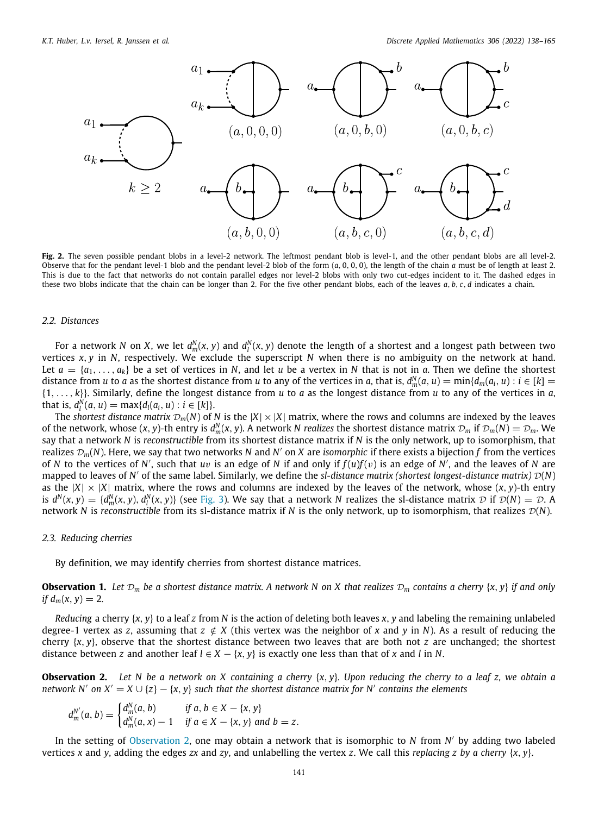

<span id="page-3-0"></span>Fig. 2. The seven possible pendant blobs in a level-2 network. The leftmost pendant blob is level-1, and the other pendant blobs are all level-2. Observe that for the pendant level-1 blob and the pendant level-2 blob of the form (*a*, 0, 0, 0), the length of the chain *a* must be of length at least 2. This is due to the fact that networks do not contain parallel edges nor level-2 blobs with only two cut-edges incident to it. The dashed edges in these two blobs indicate that the chain can be longer than 2. For the five other pendant blobs, each of the leaves *a*, *b*, *c*, *d* indicates a chain.

#### *2.2. Distances*

For a network N on X, we let  $d_m^N(x,y)$  and  $d_l^N(x,y)$  denote the length of a shortest and a longest path between two vertices *x*, *y* in *N*, respectively. We exclude the superscript *N* when there is no ambiguity on the network at hand. Let  $a = \{a_1, \ldots, a_k\}$  be a set of vertices in N, and let *u* be a vertex in N that is not in *a*. Then we define the shortest distance from u to a as the shortest distance from u to any of the vertices in a, that is,  $d_m^N(a,u)=\min\{d_m(a_i,u):i\in[k]=1\}$ {1, . . . , *k*}}. Similarly, define the longest distance from *u* to *a* as the longest distance from *u* to any of the vertices in *a*,  $\text{that is, } d_l^N(a, u) = \max\{d_l(a_i, u) : i \in [k]\}.$ 

The *shortest distance matrix*  $\mathcal{D}_m(N)$  of *N* is the  $|X| \times |X|$  matrix, where the rows and columns are indexed by the leaves of the network, whose  $(x, y)$ -th entry is  $d_m^N(x, y)$ . A network N *realizes* the shortest distance matrix  $\mathcal{D}_m$  if  $\mathcal{D}_m(N) = \mathcal{D}_m$ . We say that a network *N* is *reconstructible* from its shortest distance matrix if *N* is the only network, up to isomorphism, that realizes D*m*(*N*). Here, we say that two networks *N* and *N* ′ on *X* are *isomorphic* if there exists a bijection *f* from the vertices of *N* to the vertices of *N'*, such that *uv* is an edge of *N* if and only if  $f(u)f(v)$  is an edge of *N'*, and the leaves of *N* are mapped to leaves of *N* ′ of the same label. Similarly, we define the *sl-distance matrix (shortest longest-distance matrix)* D(*N*) as the  $|X| \times |X|$  matrix, where the rows and columns are indexed by the leaves of the network, whose  $(x, y)$ -th entry is  $d^N(x, y) = {d^N_m(x, y), d^N_l(x, y)}$  (see [Fig.](#page-4-0) [3\)](#page-4-0). We say that a network N realizes the sl-distance matrix  $D$  if  $D(N) = D$ . A network *N* is *reconstructible* from its sl-distance matrix if *N* is the only network, up to isomorphism, that realizes  $\mathcal{D}(N)$ .

#### *2.3. Reducing cherries*

<span id="page-3-3"></span>By definition, we may identify cherries from shortest distance matrices.

**Observation 1.** Let  $\mathcal{D}_m$  be a shortest distance matrix. A network N on X that realizes  $\mathcal{D}_m$  contains a cherry  $\{x, y\}$  if and only *if*  $d_m(x, y) = 2$ .

*Reducing* a cherry {*x*, *y*} to a leaf *z* from *N* is the action of deleting both leaves *x*, *y* and labeling the remaining unlabeled degree-1 vertex as *z*, assuming that  $z \notin X$  (this vertex was the neighbor of *x* and *y* in *N*). As a result of reducing the cherry {*x*, *y*}, observe that the shortest distance between two leaves that are both not *z* are unchanged; the shortest distance between *z* and another leaf  $l \in X - \{x, y\}$  is exactly one less than that of *x* and *l* in *N*.

<span id="page-3-1"></span>**Observation 2.** *Let N be a network on X containing a cherry* {*x*, *y*}*. Upon reducing the cherry to a leaf z, we obtain a network N'* on  $X' = X \cup \{z\} - \{x, y\}$  such that the shortest distance matrix for N' contains the elements

$$
d_m^{N'}(a, b) = \begin{cases} d_m^N(a, b) & \text{if } a, b \in X - \{x, y\} \\ d_m^N(a, x) - 1 & \text{if } a \in X - \{x, y\} \text{ and } b = z. \end{cases}
$$

<span id="page-3-2"></span>In the setting of [Observation](#page-3-1) [2](#page-3-1), one may obtain a network that is isomorphic to *N* from *N* ′ by adding two labeled vertices *x* and *y*, adding the edges *zx* and *zy*, and unlabelling the vertex *z*. We call this *replacing z by a cherry* {*x*, *y*}.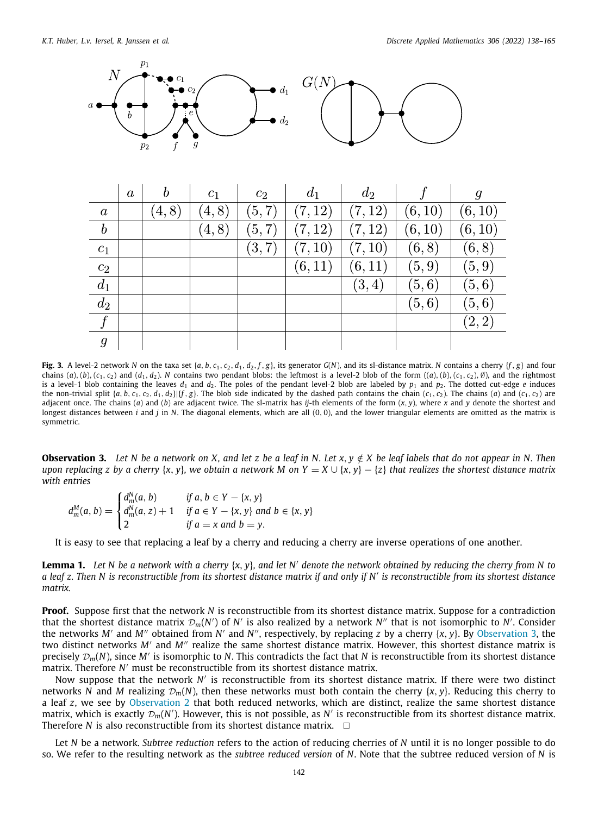

|                  | $\boldsymbol{a}$ | b     | $c_1$  | $c_2$  | $d_1$   | $d_2$   |         | g       |
|------------------|------------------|-------|--------|--------|---------|---------|---------|---------|
| $\boldsymbol{a}$ |                  | (4,8) | (4, 8) | (5,7)  | (7, 12) | (7, 12) | (6, 10) | (6, 10) |
| $\boldsymbol{b}$ |                  |       | (4, 8) | (5, 7) | (7, 12) | (7, 12) | (6, 10) | (6, 10) |
| $\mathfrak{c}_1$ |                  |       |        | (3,7)  | (7, 10) | (7, 10) | (6, 8)  | (6,8)   |
| $c_2$            |                  |       |        |        | (6, 11) | (6, 11) | (5, 9)  | (5,9)   |
| $d_1$            |                  |       |        |        |         | (3, 4)  | (5,6)   | (5,6)   |
| $d_2$            |                  |       |        |        |         |         | (5, 6)  | (5,6)   |
| $\int$           |                  |       |        |        |         |         |         | (2,2)   |
| $\mathcal{G}$    |                  |       |        |        |         |         |         |         |

<span id="page-4-0"></span>Fig. 3. A level-2 network N on the taxa set {a, b, c<sub>1</sub>, c<sub>2</sub>, d<sub>1</sub>, d<sub>2</sub>, f, g}, its generator G(N), and its sl-distance matrix. N contains a cherry {f, g} and four chains (a), (b), (c<sub>1</sub>, c<sub>2</sub>) and (d<sub>1</sub>, d<sub>2</sub>). N contains two pendant blobs: the leftmost is a level-2 blob of the form ((a), (b), (c<sub>1</sub>, c<sub>2</sub>),  $\emptyset$ ), and the rightmost is a level-1 blob containing the leaves  $d_1$  and  $d_2$ . The poles of the pendant level-2 blob are labeled by  $p_1$  and  $p_2$ . The dotted cut-edge *e* induces the non-trivial split  $\{a, b, c_1, c_2, d_1, d_2\}$   $\{f, g\}$ . The blob side indicated by the dashed path contains the chain  $(c_1, c_2)$ . The chains  $(a)$  and  $(c_1, c_2)$  are adjacent once. The chains (*a*) and (*b*) are adjacent twice. The sl-matrix has *ij*-th elements of the form (*x*, *y*), where *x* and *y* denote the shortest and longest distances between *i* and *j* in *N*. The diagonal elements, which are all (0, 0), and the lower triangular elements are omitted as the matrix is symmetric.

**Observation 3.** Let N be a network on X, and let z be a leaf in N. Let  $x, y \notin X$  be leaf labels that do not appear in N. Then *upon replacing z by a cherry* {*x, y*}*, we obtain a network M on Y = X* ∪ {*x, y*} – {*z*} *that realizes the shortest distance matrix with entries*

$$
d_m^M(a, b) = \begin{cases} d_m^N(a, b) & \text{if } a, b \in Y - \{x, y\} \\ d_m^N(a, z) + 1 & \text{if } a \in Y - \{x, y\} \text{ and } b \in \{x, y\} \\ 2 & \text{if } a = x \text{ and } b = y. \end{cases}
$$

It is easy to see that replacing a leaf by a cherry and reducing a cherry are inverse operations of one another.

<span id="page-4-1"></span>**Lemma 1.** *Let N be a network with a cherry* {*x*, *y*}*, and let N*′ *denote the network obtained by reducing the cherry from N to a leaf z. Then N is reconstructible from its shortest distance matrix if and only if N*′ *is reconstructible from its shortest distance matrix.*

**Proof.** Suppose first that the network *N* is reconstructible from its shortest distance matrix. Suppose for a contradiction that the shortest distance matrix  $\mathcal{D}_m(N')$  of  $N'$  is also realized by a network  $N''$  that is not isomorphic to  $N'$ . Consider the networks *M'* and *M"* obtained from *N'* and *N"*, respectively, by replacing *z* by a cherry {*x*, *y*}. By [Observation](#page-3-2) [3,](#page-3-2) the two distinct networks *M*′ and *M*′′ realize the same shortest distance matrix. However, this shortest distance matrix is precisely <sup>D</sup>*m*(*N*), since *M*′ is isomorphic to *N*. This contradicts the fact that *N* is reconstructible from its shortest distance matrix. Therefore *N* ′ must be reconstructible from its shortest distance matrix.

Now suppose that the network N' is reconstructible from its shortest distance matrix. If there were two distinct networks *N* and *M* realizing  $\mathcal{D}_m(N)$ , then these networks must both contain the cherry {*x*, *y*}. Reducing this cherry to a leaf *z*, we see by [Observation](#page-3-1) [2](#page-3-1) that both reduced networks, which are distinct, realize the same shortest distance matrix, which is exactly  $\mathcal{D}_m(N')$ . However, this is not possible, as  $N'$  is reconstructible from its shortest distance matrix. Therefore *N* is also reconstructible from its shortest distance matrix.  $\square$ 

Let *N* be a network. *Subtree reduction* refers to the action of reducing cherries of *N* until it is no longer possible to do so. We refer to the resulting network as the *subtree reduced version* of *N*. Note that the subtree reduced version of *N* is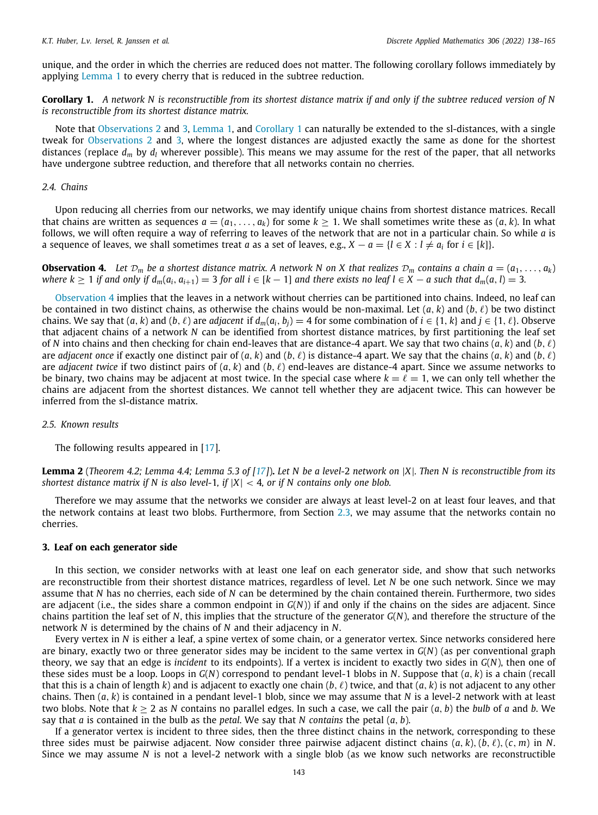unique, and the order in which the cherries are reduced does not matter. The following corollary follows immediately by applying [Lemma](#page-4-1) [1](#page-4-1) to every cherry that is reduced in the subtree reduction.

<span id="page-5-1"></span>**Corollary 1.** *A network N is reconstructible from its shortest distance matrix if and only if the subtree reduced version of N is reconstructible from its shortest distance matrix.*

Note that [Observations](#page-3-1) [2](#page-3-1) and [3](#page-3-2), [Lemma](#page-4-1) [1](#page-5-1), and [Corollary](#page-5-1) 1 can naturally be extended to the sl-distances, with a single tweak for [Observations](#page-3-1) [2](#page-3-1) and [3](#page-3-2), where the longest distances are adjusted exactly the same as done for the shortest distances (replace  $d_m$  by  $d_l$  wherever possible). This means we may assume for the rest of the paper, that all networks have undergone subtree reduction, and therefore that all networks contain no cherries.

#### *2.4. Chains*

<span id="page-5-4"></span>Upon reducing all cherries from our networks, we may identify unique chains from shortest distance matrices. Recall that chains are written as sequences  $a = (a_1, \ldots, a_k)$  for some  $k > 1$ . We shall sometimes write these as  $(a, k)$ . In what follows, we will often require a way of referring to leaves of the network that are not in a particular chain. So while *a* is a sequence of leaves, we shall sometimes treat *a* as a set of leaves, e.g.,  $X - a = \{l \in X : l \neq a_i \text{ for } i \in [k]\}.$ 

<span id="page-5-2"></span>**Observation 4.** Let  $\mathcal{D}_m$  be a shortest distance matrix. A network N on X that realizes  $\mathcal{D}_m$  contains a chain  $a = (a_1, \ldots, a_k)$ where  $k \ge 1$  if and only if  $d_m(a_i, a_{i+1}) = 3$  for all  $i \in [k-1]$  and there exists no leaf  $l \in X - a$  such that  $d_m(a, l) = 3$ .

[Observation](#page-5-2) [4](#page-5-2) implies that the leaves in a network without cherries can be partitioned into chains. Indeed, no leaf can be contained in two distinct chains, as otherwise the chains would be non-maximal. Let  $(a, k)$  and  $(b, \ell)$  be two distinct chains. We say that  $(a, k)$  and  $(b, \ell)$  are *adjacent* if  $d_m(a_i, b_i) = 4$  for some combination of  $i \in \{1, k\}$  and  $j \in \{1, \ell\}$ . Observe that adjacent chains of a network *N* can be identified from shortest distance matrices, by first partitioning the leaf set of *N* into chains and then checking for chain end-leaves that are distance-4 apart. We say that two chains (*a*, *k*) and (*b*, ℓ) are *adjacent once* if exactly one distinct pair of  $(a, k)$  and  $(b, \ell)$  is distance-4 apart. We say that the chains  $(a, k)$  and  $(b, \ell)$ are *adjacent twice* if two distinct pairs of (*a*, *k*) and (*b*, ℓ) end-leaves are distance-4 apart. Since we assume networks to be binary, two chains may be adjacent at most twice. In the special case where  $k = \ell = 1$ , we can only tell whether the chains are adjacent from the shortest distances. We cannot tell whether they are adjacent twice. This can however be inferred from the sl-distance matrix.

*2.5. Known results*

The following results appeared in [\[17\]](#page-27-10).

<span id="page-5-3"></span>**Lemma 2** (*Theorem 4.2; Lemma 4.4; Lemma 5.3 of [\[17](#page-27-10)]*)**.** *Let N be a level-*2 *network on* |*X*|*. Then N is reconstructible from its shortest distance matrix if* N is also level-1, if  $|X| < 4$ , or if N contains only one blob.

Therefore we may assume that the networks we consider are always at least level-2 on at least four leaves, and that the network contains at least two blobs. Furthermore, from Section [2.3](#page-3-3), we may assume that the networks contain no cherries.

#### **3. Leaf on each generator side**

<span id="page-5-0"></span>In this section, we consider networks with at least one leaf on each generator side, and show that such networks are reconstructible from their shortest distance matrices, regardless of level. Let *N* be one such network. Since we may assume that *N* has no cherries, each side of *N* can be determined by the chain contained therein. Furthermore, two sides are adjacent (i.e., the sides share a common endpoint in *G*(*N*)) if and only if the chains on the sides are adjacent. Since chains partition the leaf set of *N*, this implies that the structure of the generator *G*(*N*), and therefore the structure of the network *N* is determined by the chains of *N* and their adjacency in *N*.

Every vertex in *N* is either a leaf, a spine vertex of some chain, or a generator vertex. Since networks considered here are binary, exactly two or three generator sides may be incident to the same vertex in *G*(*N*) (as per conventional graph theory, we say that an edge is *incident* to its endpoints). If a vertex is incident to exactly two sides in *G*(*N*), then one of these sides must be a loop. Loops in *G*(*N*) correspond to pendant level-1 blobs in *N*. Suppose that (*a*, *k*) is a chain (recall that this is a chain of length  $k$ ) and is adjacent to exactly one chain  $(b, \ell)$  twice, and that  $(a, k)$  is not adjacent to any other chains. Then (*a*, *k*) is contained in a pendant level-1 blob, since we may assume that *N* is a level-2 network with at least two blobs. Note that  $k \geq 2$  as N contains no parallel edges. In such a case, we call the pair  $(a, b)$  the *bulb* of *a* and *b*. We say that *a* is contained in the bulb as the *petal*. We say that *N contains* the petal (*a*, *b*).

If a generator vertex is incident to three sides, then the three distinct chains in the network, corresponding to these three sides must be pairwise adjacent. Now consider three pairwise adjacent distinct chains  $(a, k)$ ,  $(b, \ell)$ ,  $(c, m)$  in *N*. Since we may assume *N* is not a level-2 network with a single blob (as we know such networks are reconstructible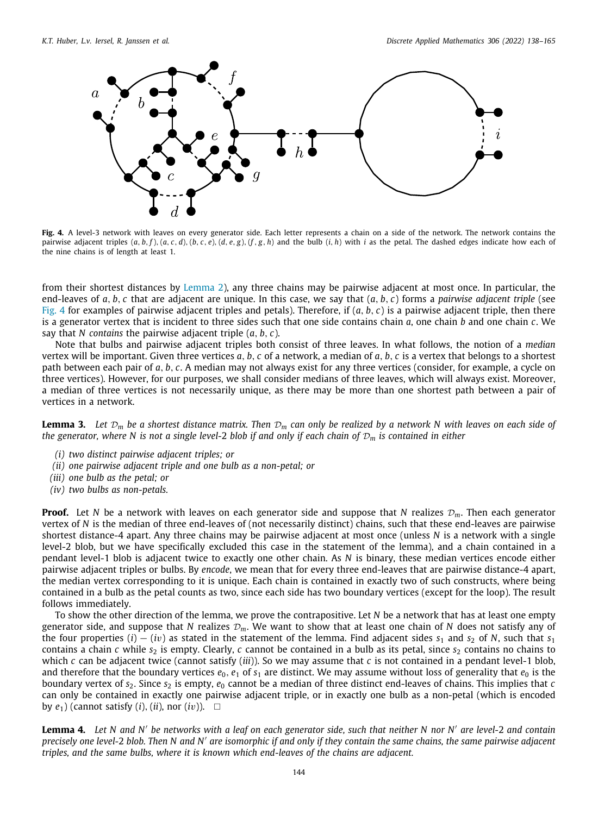

<span id="page-6-0"></span>Fig. 4. A level-3 network with leaves on every generator side. Each letter represents a chain on a side of the network. The network contains the pairwise adjacent triples  $(a, b, f)$ ,  $(a, c, d)$ ,  $(b, c, e)$ ,  $(d, e, g)$ ,  $(f, g, h)$  and the bulb  $(i, h)$  with i as the petal. The dashed edges indicate how each of the nine chains is of length at least 1.

from their shortest distances by [Lemma](#page-5-3) [2\)](#page-5-3), any three chains may be pairwise adjacent at most once. In particular, the end-leaves of *a*, *b*, *c* that are adjacent are unique. In this case, we say that (*a*, *b*, *c*) forms a *pairwise adjacent triple* (see [Fig.](#page-6-0) [4](#page-6-0) for examples of pairwise adjacent triples and petals). Therefore, if (*a*, *b*, *c*) is a pairwise adjacent triple, then there is a generator vertex that is incident to three sides such that one side contains chain *a*, one chain *b* and one chain *c*. We say that *N contains* the pairwise adjacent triple (*a*, *b*, *c*).

Note that bulbs and pairwise adjacent triples both consist of three leaves. In what follows, the notion of a *median* vertex will be important. Given three vertices *a*, *b*, *c* of a network, a median of *a*, *b*, *c* is a vertex that belongs to a shortest path between each pair of *a*, *b*, *c*. A median may not always exist for any three vertices (consider, for example, a cycle on three vertices). However, for our purposes, we shall consider medians of three leaves, which will always exist. Moreover, a median of three vertices is not necessarily unique, as there may be more than one shortest path between a pair of vertices in a network.

<span id="page-6-1"></span>**Lemma 3.** Let  $\mathcal{D}_m$  be a shortest distance matrix. Then  $\mathcal{D}_m$  can only be realized by a network N with leaves on each side of *the generator, where N is not a single level-*2 *blob if and only if each chain of* D*<sup>m</sup> is contained in either*

- *(i) two distinct pairwise adjacent triples; or*
- *(ii) one pairwise adjacent triple and one bulb as a non-petal; or*
- *(iii) one bulb as the petal; or*
- *(iv) two bulbs as non-petals.*

**Proof.** Let N be a network with leaves on each generator side and suppose that N realizes  $\mathcal{D}_m$ . Then each generator vertex of *N* is the median of three end-leaves of (not necessarily distinct) chains, such that these end-leaves are pairwise shortest distance-4 apart. Any three chains may be pairwise adjacent at most once (unless *N* is a network with a single level-2 blob, but we have specifically excluded this case in the statement of the lemma), and a chain contained in a pendant level-1 blob is adjacent twice to exactly one other chain. As *N* is binary, these median vertices encode either pairwise adjacent triples or bulbs. By *encode*, we mean that for every three end-leaves that are pairwise distance-4 apart, the median vertex corresponding to it is unique. Each chain is contained in exactly two of such constructs, where being contained in a bulb as the petal counts as two, since each side has two boundary vertices (except for the loop). The result follows immediately.

To show the other direction of the lemma, we prove the contrapositive. Let *N* be a network that has at least one empty generator side, and suppose that *N* realizes  $\mathcal{D}_m$ . We want to show that at least one chain of *N* does not satisfy any of the four properties (*i*) − (*iv*) as stated in the statement of the lemma. Find adjacent sides  $s_1$  and  $s_2$  of *N*, such that  $s_1$ contains a chain  $c$  while  $s_2$  is empty. Clearly,  $c$  cannot be contained in a bulb as its petal, since  $s_2$  contains no chains to which *c* can be adjacent twice (cannot satisfy (*iii*)). So we may assume that *c* is not contained in a pendant level-1 blob, and therefore that the boundary vertices  $e_0$ ,  $e_1$  of  $s_1$  are distinct. We may assume without loss of generality that  $e_0$  is the boundary vertex of  $s_2$ . Since  $s_2$  is empty,  $e_0$  cannot be a median of three distinct end-leaves of chains. This implies that *c* can only be contained in exactly one pairwise adjacent triple, or in exactly one bulb as a non-petal (which is encoded by  $e_1$ ) (cannot satisfy  $(i)$ ,  $(ii)$ , nor  $(iv)$ ).  $\Box$ 

<span id="page-6-2"></span>**Lemma 4.** Let N and N' be networks with a leaf on each generator side, such that neither N nor N' are level-2 and contain *precisely one level-*2 *blob. Then N and N*′ *are isomorphic if and only if they contain the same chains, the same pairwise adjacent triples, and the same bulbs, where it is known which end-leaves of the chains are adjacent.*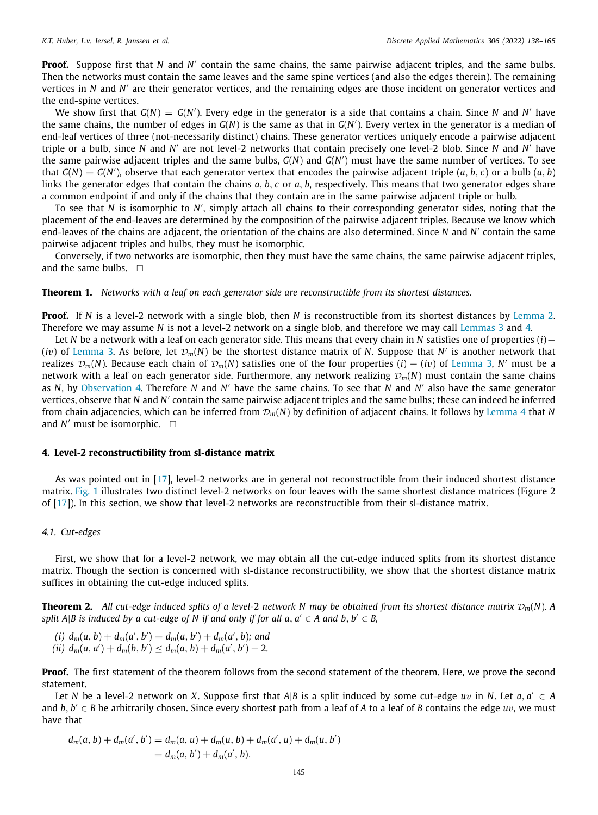**Proof.** Suppose first that *N* and *N'* contain the same chains, the same pairwise adjacent triples, and the same bulbs. Then the networks must contain the same leaves and the same spine vertices (and also the edges therein). The remaining vertices in *N* and *N'* are their generator vertices, and the remaining edges are those incident on generator vertices and the end-spine vertices.

We show first that  $G(N) = G(N')$ . Every edge in the generator is a side that contains a chain. Since *N* and *N'* have the same chains, the number of edges in *G*(*N*) is the same as that in *G*(*N* ′ ). Every vertex in the generator is a median of end-leaf vertices of three (not-necessarily distinct) chains. These generator vertices uniquely encode a pairwise adjacent triple or a bulb, since *N* and *N'* are not level-2 networks that contain precisely one level-2 blob. Since *N* and *N'* have the same pairwise adjacent triples and the same bulbs, *G*(*N*) and *G*(*N* ′ ) must have the same number of vertices. To see that  $G(N) = G(N')$ , observe that each generator vertex that encodes the pairwise adjacent triple  $(a, b, c)$  or a bulb  $(a, b)$ links the generator edges that contain the chains *a*, *b*, *c* or *a*, *b*, respectively. This means that two generator edges share a common endpoint if and only if the chains that they contain are in the same pairwise adjacent triple or bulb.

To see that *N* is isomorphic to *N'*, simply attach all chains to their corresponding generator sides, noting that the placement of the end-leaves are determined by the composition of the pairwise adjacent triples. Because we know which end-leaves of the chains are adjacent, the orientation of the chains are also determined. Since *N* and *N* ′ contain the same pairwise adjacent triples and bulbs, they must be isomorphic.

Conversely, if two networks are isomorphic, then they must have the same chains, the same pairwise adjacent triples, and the same bulbs.  $\square$ 

#### <span id="page-7-0"></span>**Theorem 1.** *Networks with a leaf on each generator side are reconstructible from its shortest distances.*

**Proof.** If *N* is a level-2 network with a single blob, then *N* is reconstructible from its shortest distances by [Lemma](#page-5-3) [2.](#page-5-3) Therefore we may assume *N* is not a level-2 network on a single blob, and therefore we may call [Lemmas](#page-6-1) [3](#page-6-1) and [4](#page-6-2).

Let *N* be a network with a leaf on each generator side. This means that every chain in *N* satisfies one of properties (*i*)− (*iv*) of [Lemma](#page-6-1) [3.](#page-6-1) As before, let  $\mathcal{D}_m(N)$  be the shortest distance matrix of *N*. Suppose that *N'* is another network that realizes D*m*(*N*). Because each chain of D*m*(*N*) satisfies one of the four properties (*i*) − (*i*v) of [Lemma](#page-6-1) [3,](#page-6-1) *N* ′ must be a network with a leaf on each generator side. Furthermore, any network realizing  $\mathcal{D}_m(N)$  must contain the same chains as *N*, by [Observation](#page-5-2) [4](#page-5-2). Therefore *N* and *N* ′ have the same chains. To see that *N* and *N* ′ also have the same generator vertices, observe that N and N' contain the same pairwise adjacent triples and the same bulbs; these can indeed be inferred from chain adjacencies, which can be inferred from D*m*(*N*) by definition of adjacent chains. It follows by [Lemma](#page-6-2) [4](#page-6-2) that *N* and  $N'$  must be isomorphic.  $\square$ 

#### **4. Level-2 reconstructibility from sl-distance matrix**

<span id="page-7-1"></span>As was pointed out in [[17](#page-27-10)], level-2 networks are in general not reconstructible from their induced shortest distance matrix. [Fig.](#page-1-3) [1](#page-1-3) illustrates two distinct level-2 networks on four leaves with the same shortest distance matrices (Figure 2 of [[17](#page-27-10)]). In this section, we show that level-2 networks are reconstructible from their sl-distance matrix.

#### *4.1. Cut-edges*

First, we show that for a level-2 network, we may obtain all the cut-edge induced splits from its shortest distance matrix. Though the section is concerned with sl-distance reconstructibility, we show that the shortest distance matrix suffices in obtaining the cut-edge induced splits.

<span id="page-7-2"></span>**Theorem 2.** All cut-edge induced splits of a level-2 network N may be obtained from its shortest distance matrix  $\mathcal{D}_m(N)$ . A *split A*|*B* is induced by a cut-edge of N if and only if for all  $a, a' \in A$  and  $b, b' \in B$ ,

(*i*)  $d_m(a, b) + d_m(a', b') = d_m(a, b') + d_m(a', b)$ ; and  $(dii) d_m(a, a') + d_m(b, b') \leq d_m(a, b) + d_m(a', b') - 2.$ 

**Proof.** The first statement of the theorem follows from the second statement of the theorem. Here, we prove the second statement.

Let *N* be a level-2 network on *X*. Suppose first that  $A|B$  is a split induced by some cut-edge  $uv$  in *N*. Let  $a, a' \in A$ and *b*, *b* ′ ∈ *B* be arbitrarily chosen. Since every shortest path from a leaf of *A* to a leaf of *B* contains the edge *u*v, we must have that

$$
d_m(a, b) + d_m(a', b') = d_m(a, u) + d_m(u, b) + d_m(a', u) + d_m(u, b')
$$
  
=  $d_m(a, b') + d_m(a', b)$ .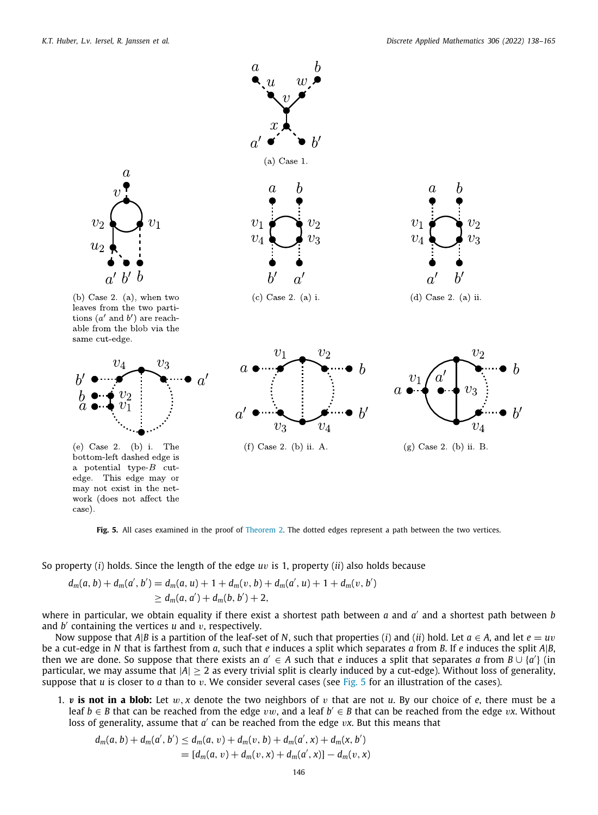

Fig. 5. All cases examined in the proof of [Theorem](#page-7-2) [2.](#page-7-2) The dotted edges represent a path between the two vertices.

<span id="page-8-0"></span>So property (*i*) holds. Since the length of the edge *u*v is 1, property (*ii*) also holds because

$$
d_m(a, b) + d_m(a', b') = d_m(a, u) + 1 + d_m(v, b) + d_m(a', u) + 1 + d_m(v, b')
$$
  
\n
$$
\geq d_m(a, a') + d_m(b, b') + 2,
$$

where in particular, we obtain equality if there exist a shortest path between *a* and *a* ′ and a shortest path between *b* and *b* ′ containing the vertices *u* and v, respectively.

Now suppose that *A*|*B* is a partition of the leaf-set of *N*, such that properties (*i*) and (*ii*) hold. Let  $a \in A$ , and let  $e = uv$ be a cut-edge in *N* that is farthest from *a*, such that *e* induces a split which separates *a* from *B*. If *e* induces the split *A*|*B*, then we are done. So suppose that there exists an  $a' \in A$  such that *e* induces a split that separates *a* from  $B \cup \{a'\}$  (in particular, we may assume that  $|A| > 2$  as every trivial split is clearly induced by a cut-edge). Without loss of generality, suppose that *u* is closer to *a* than to v. We consider several cases (see [Fig.](#page-8-0) [5](#page-8-0) for an illustration of the cases).

1.  $v$  is not in a blob: Let  $w$ ,  $x$  denote the two neighbors of  $v$  that are not  $u$ . By our choice of  $e$ , there must be a leaf *b* ∈ *B* that can be reached from the edge vw, and a leaf *b* ′ ∈ *B* that can be reached from the edge v*x*. Without loss of generality, assume that *a'* can be reached from the edge *vx*. But this means that

$$
d_m(a, b) + d_m(a', b') \leq d_m(a, v) + d_m(v, b) + d_m(a', x) + d_m(x, b')
$$
  
= 
$$
[d_m(a, v) + d_m(v, x) + d_m(a', x)] - d_m(v, x)
$$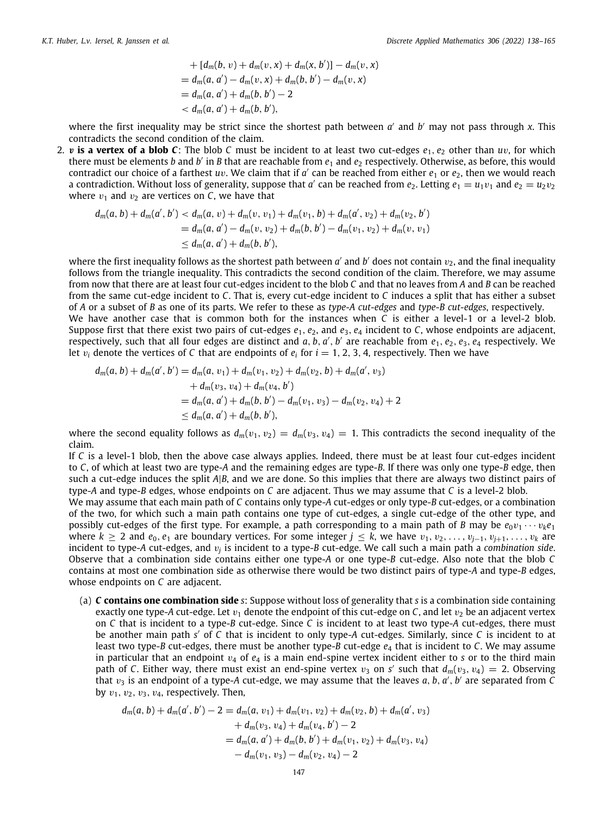+ 
$$
[d_m(b, v) + d_m(v, x) + d_m(x, b')] - d_m(v, x)
$$
  
\n=  $d_m(a, a') - d_m(v, x) + d_m(b, b') - d_m(v, x)$   
\n=  $d_m(a, a') + d_m(b, b') - 2$   
\n $< d_m(a, a') + d_m(b, b')$ ,

where the first inequality may be strict since the shortest path between *a'* and *b'* may not pass through *x*. This contradicts the second condition of the claim.

2. v **is a vertex of a blob C**: The blob C must be incident to at least two cut-edges  $e_1$ ,  $e_2$  other than  $uv$ , for which there must be elements *b* and *b'* in *B* that are reachable from  $e_1$  and  $e_2$  respectively. Otherwise, as before, this would contradict our choice of a farthest *uv*. We claim that if *a'* can be reached from either  $e_1$  or  $e_2$ , then we would reach a contradiction. Without loss of generality, suppose that  $a'$  can be reached from  $e_2$ . Letting  $e_1 = u_1v_1$  and  $e_2 = u_2v_2$ where  $v_1$  and  $v_2$  are vertices on *C*, we have that

$$
d_m(a, b) + d_m(a', b') < d_m(a, v) + d_m(v, v_1) + d_m(v_1, b) + d_m(a', v_2) + d_m(v_2, b')
$$
  
=  $d_m(a, a') - d_m(v, v_2) + d_m(b, b') - d_m(v_1, v_2) + d_m(v, v_1)$   
 $\leq d_m(a, a') + d_m(b, b'),$ 

where the first inequality follows as the shortest path between  $a'$  and  $b'$  does not contain  $v_2$ , and the final inequality follows from the triangle inequality. This contradicts the second condition of the claim. Therefore, we may assume from now that there are at least four cut-edges incident to the blob *C* and that no leaves from *A* and *B* can be reached from the same cut-edge incident to *C*. That is, every cut-edge incident to *C* induces a split that has either a subset of *A* or a subset of *B* as one of its parts. We refer to these as *type-A cut-edges* and *type*-*B cut-edges*, respectively. We have another case that is common both for the instances when *C* is either a level-1 or a level-2 blob. Suppose first that there exist two pairs of cut-edges  $e_1, e_2$ , and  $e_3, e_4$  incident to  $C$ , whose endpoints are adjacent, respectively, such that all four edges are distinct and a, b, a', b' are reachable from  $e_1, e_2, e_3, e_4$  respectively. We let  $v_i$  denote the vertices of C that are endpoints of  $e_i$  for  $i = 1, 2, 3, 4$ , respectively. Then we have

$$
d_m(a, b) + d_m(a', b') = d_m(a, v_1) + d_m(v_1, v_2) + d_m(v_2, b) + d_m(a', v_3)
$$
  
+ 
$$
d_m(v_3, v_4) + d_m(v_4, b')
$$
  
= 
$$
d_m(a, a') + d_m(b, b') - d_m(v_1, v_3) - d_m(v_2, v_4) + 2
$$
  
\$\leq\$ 
$$
d_m(a, a') + d_m(b, b'),
$$

where the second equality follows as  $d_m(v_1, v_2) = d_m(v_3, v_4) = 1$ . This contradicts the second inequality of the claim.

If *C* is a level-1 blob, then the above case always applies. Indeed, there must be at least four cut-edges incident to *C*, of which at least two are type-*A* and the remaining edges are type-*B*. If there was only one type-*B* edge, then such a cut-edge induces the split *A*|*B*, and we are done. So this implies that there are always two distinct pairs of type-*A* and type-*B* edges, whose endpoints on *C* are adjacent. Thus we may assume that *C* is a level-2 blob.

We may assume that each main path of *C* contains only type-*A* cut-edges or only type-*B* cut-edges, or a combination of the two, for which such a main path contains one type of cut-edges, a single cut-edge of the other type, and possibly cut-edges of the first type. For example, a path corresponding to a main path of *B* may be  $e_0v_1 \cdots v_k e_1$ where  $k \ge 2$  and  $e_0, e_1$  are boundary vertices. For some integer  $j \le k$ , we have  $v_1, v_2, \ldots, v_{i-1}, v_{i+1}, \ldots, v_k$  are incident to type-A cut-edges, and  $v_j$  is incident to a type-B cut-edge. We call such a main path a *combination side*. Observe that a combination side contains either one type-*A* or one type-*B* cut-edge. Also note that the blob *C* contains at most one combination side as otherwise there would be two distinct pairs of type-*A* and type-*B* edges, whose endpoints on *C* are adjacent.

(a) *C* **contains one combination side** *s*: Suppose without loss of generality that *s* is a combination side containing exactly one type-A cut-edge. Let  $v_1$  denote the endpoint of this cut-edge on  $C$ , and let  $v_2$  be an adjacent vertex on *C* that is incident to a type-*B* cut-edge. Since *C* is incident to at least two type-*A* cut-edges, there must be another main path *s* ′ of *C* that is incident to only type-*A* cut-edges. Similarly, since *C* is incident to at least two type-*B* cut-edges, there must be another type-*B* cut-edge *e*<sup>4</sup> that is incident to *C*. We may assume in particular that an endpoint  $v_4$  of  $e_4$  is a main end-spine vertex incident either to  $s$  or to the third main path of *C*. Either way, there must exist an end-spine vertex  $v_3$  on *s'* such that  $d_m(v_3, v_4) = 2$ . Observing that v<sup>3</sup> is an endpoint of a type-*A* cut-edge, we may assume that the leaves *a*, *b*, *a* ′ , *b* ′ are separated from *C* by  $v_1, v_2, v_3, v_4$ , respectively. Then,

$$
d_m(a, b) + d_m(a', b') - 2 = d_m(a, v_1) + d_m(v_1, v_2) + d_m(v_2, b) + d_m(a', v_3)
$$
  
+ 
$$
d_m(v_3, v_4) + d_m(v_4, b') - 2
$$
  
= 
$$
d_m(a, a') + d_m(b, b') + d_m(v_1, v_2) + d_m(v_3, v_4)
$$
  
- 
$$
d_m(v_1, v_3) - d_m(v_2, v_4) - 2
$$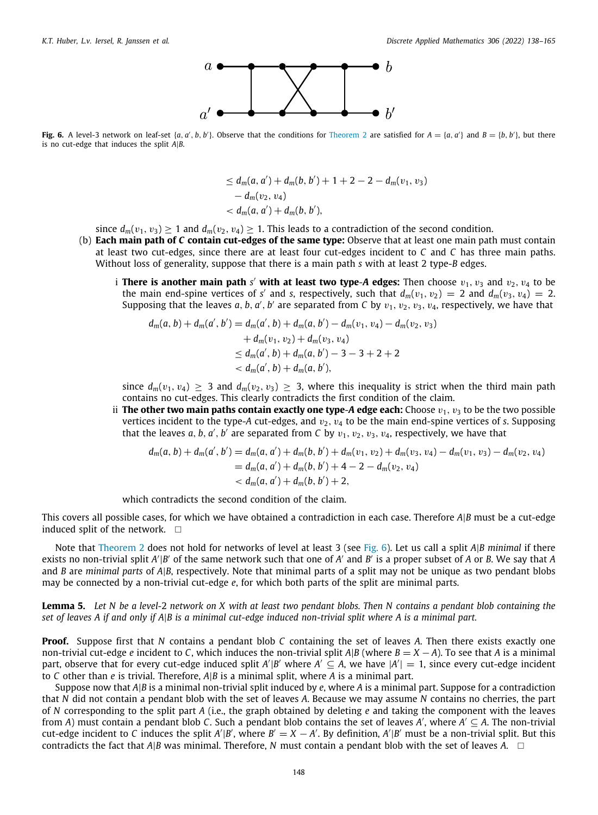

<span id="page-10-0"></span>Fig. 6. A level-3 network on leaf-set  $\{a, a', b, b'\}$ . Observe that the conditions for [Theorem](#page-7-2) [2](#page-7-2) are satisfied for  $A = \{a, a'\}$  and  $B = \{b, b'\}$ , but there is no cut-edge that induces the split *A*|*B*.

$$
\leq d_m(a, a') + d_m(b, b') + 1 + 2 - 2 - d_m(v_1, v_3) - d_m(v_2, v_4) \n
$$
< d_m(a, a') + d_m(b, b'),
$$
$$

since  $d_m(v_1, v_3) \ge 1$  and  $d_m(v_2, v_4) \ge 1$ . This leads to a contradiction of the second condition.

- (b) **Each main path of** *C* **contain cut-edges of the same type:** Observe that at least one main path must contain at least two cut-edges, since there are at least four cut-edges incident to *C* and *C* has three main paths. Without loss of generality, suppose that there is a main path *s* with at least 2 type-*B* edges.
	- i **There is another main path** s' **with at least two type-A edges:** Then choose  $v_1$ ,  $v_3$  and  $v_2$ ,  $v_4$  to be the main end-spine vertices of *s'* and *s*, respectively, such that  $d_m(v_1, v_2) = 2$  and  $d_m(v_3, v_4) = 2$ . Supposing that the leaves  $a, b, a', b'$  are separated from  $C$  by  $v_1, v_2, v_3, v_4$ , respectively, we have that

$$
d_m(a, b) + d_m(a', b') = d_m(a', b) + d_m(a, b') - d_m(v_1, v_4) - d_m(v_2, v_3)
$$
  
+ 
$$
d_m(v_1, v_2) + d_m(v_3, v_4)
$$
  

$$
\leq d_m(a', b) + d_m(a, b') - 3 - 3 + 2 + 2
$$
  

$$
< d_m(a', b) + d_m(a, b'),
$$

since  $d_m(v_1, v_4) \geq 3$  and  $d_m(v_2, v_3) \geq 3$ , where this inequality is strict when the third main path contains no cut-edges. This clearly contradicts the first condition of the claim.

ii **The other two main paths contain exactly one type-A edge each: Choose**  $v_1, v_3$  **to be the two possible** vertices incident to the type- $A$  cut-edges, and  $v_2$ ,  $v_4$  to be the main end-spine vertices of  $s$ . Supposing that the leaves  $a, b, a', b'$  are separated from  $C$  by  $v_1, v_2, v_3, v_4$ , respectively, we have that

$$
d_m(a, b) + d_m(a', b') = d_m(a, a') + d_m(b, b') + d_m(v_1, v_2) + d_m(v_3, v_4) - d_m(v_1, v_3) - d_m(v_2, v_4)
$$
  
= 
$$
d_m(a, a') + d_m(b, b') + 4 - 2 - d_m(v_2, v_4)
$$
  
< 
$$
< d_m(a, a') + d_m(b, b') + 2,
$$

which contradicts the second condition of the claim.

This covers all possible cases, for which we have obtained a contradiction in each case. Therefore *A*|*B* must be a cut-edge induced split of the network.  $\square$ 

Note that [Theorem](#page-7-2) [2](#page-7-2) does not hold for networks of level at least 3 (see [Fig.](#page-10-0) [6](#page-10-0)). Let us call a split *A*|*B minimal* if there exists no non-trivial split *A'*|*B'* of the same network such that one of *A'* and *B'* is a proper subset of *A* or *B*. We say that *A* and *B* are *minimal parts* of *A*|*B*, respectively. Note that minimal parts of a split may not be unique as two pendant blobs may be connected by a non-trivial cut-edge *e*, for which both parts of the split are minimal parts.

<span id="page-10-1"></span>**Lemma 5.** *Let N be a level-*2 *network on X with at least two pendant blobs. Then N contains a pendant blob containing the set of leaves A if and only if A*|*B is a minimal cut-edge induced non-trivial split where A is a minimal part.*

**Proof.** Suppose first that *N* contains a pendant blob *C* containing the set of leaves *A*. Then there exists exactly one non-trivial cut-edge *e* incident to *C*, which induces the non-trivial split  $A|B$  (where  $B = X - A$ ). To see that *A* is a minimal part, observe that for every cut-edge induced split *A*'|*B*' where *A*'  $\subseteq$  *A*, we have |*A'*| = 1, since every cut-edge incident to *C* other than *e* is trivial. Therefore, *A*|*B* is a minimal split, where *A* is a minimal part.

Suppose now that *A*|*B* is a minimal non-trivial split induced by *e*, where *A* is a minimal part. Suppose for a contradiction that *N* did not contain a pendant blob with the set of leaves *A*. Because we may assume *N* contains no cherries, the part of *N* corresponding to the split part *A* (i.e., the graph obtained by deleting *e* and taking the component with the leaves from *A*) must contain a pendant blob *C*. Such a pendant blob contains the set of leaves *A* ′ , where *A* ′ ⊆ *A*. The non-trivial  $cut$ -edge incident to C induces the split  $A'|B'$ , where  $B' = X - A'$ . By definition,  $A'|B'$  must be a non-trivial split. But this contradicts the fact that *A*|*B* was minimal. Therefore, *N* must contain a pendant blob with the set of leaves *A*. □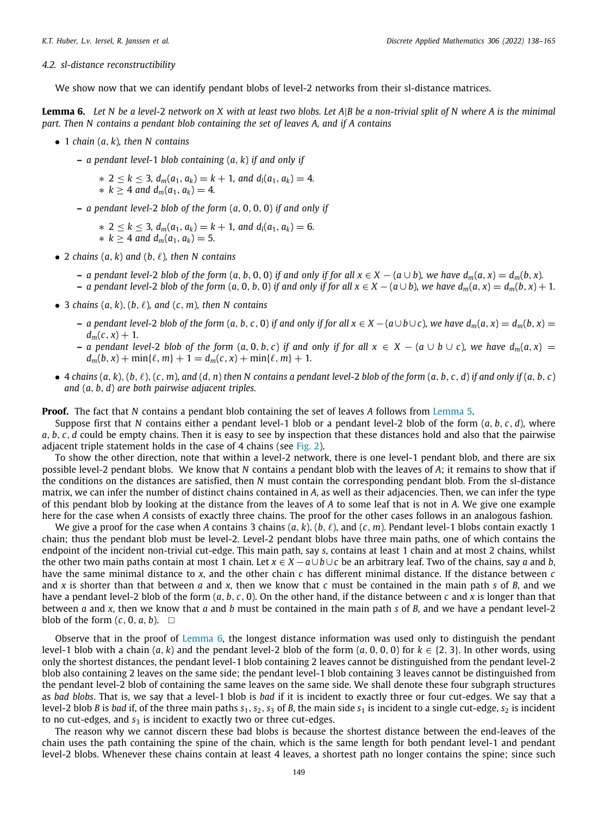#### *4.2. sl-distance reconstructibility*

We show now that we can identify pendant blobs of level-2 networks from their sl-distance matrices.

<span id="page-11-0"></span>**Lemma 6.** *Let N be a level-*2 *network on X with at least two blobs. Let A*|*B be a non-trivial split of N where A is the minimal part. Then N contains a pendant blob containing the set of leaves A, and if A contains*

- 1 *chain* (*a*, *k*)*, then N contains*
	- **–** *a pendant level-*1 *blob containing* (*a*, *k*) *if and only if*

∗ 2 ≤ *k* ≤ 3*, dm*(*a*1, *ak*) = *k* + 1*, and dl*(*a*1, *ak*) = 4*.*  $\ast k$  ≥ 4 *and*  $d_m(a_1, a_k) = 4$ .

**–** *a pendant level-*2 *blob of the form* (*a*, 0, 0, 0) *if and only if*

∗ 2 ≤ *k* ≤ 3*, dm*(*a*1, *ak*) = *k* + 1*, and dl*(*a*1, *ak*) = 6*.* ∗ *k* ≥ 4 *and dm*(*a*1, *ak*) = 5*.*

- 2 *chains*  $(a, k)$  *and*  $(b, \ell)$ *, then* N *contains* 
	- a pendant level-2 blob of the form  $(a, b, 0, 0)$  if and only if for all  $x \in X (a \cup b)$ , we have  $d_m(a, x) = d_m(b, x)$ .
	- a pendant level-2 blob of the form  $(a, 0, b, 0)$  if and only if for all  $x \in X (a \cup b)$ , we have  $d_m(a, x) = d_m(b, x) + 1$ .
- 3 *chains*  $(a, k)$ ,  $(b, \ell)$ *, and*  $(c, m)$ *, then N contains* 
	- a pendant level-2 blob of the form  $(a, b, c, 0)$  if and only if for all  $x \in X (a \cup b \cup c)$ , we have  $d_m(a, x) = d_m(b, x) =$  $d_m(c, x) + 1$ .
	- **−** *a* pendant level-2 blob of the form  $(a, 0, b, c)$  if and only if for all  $x \in X (a \cup b \cup c)$ , we have  $d_m(a, x)$  =  $d_m(b, x) + \min\{\ell, m\} + 1 = d_m(c, x) + \min\{\ell, m\} + 1$ .
- 4 chains  $(a, k), (b, \ell), (c, m),$  and  $(d, n)$  then N contains a pendant level-2 blob of the form  $(a, b, c, d)$  if and only if  $(a, b, c)$ *and* (*a*, *b*, *d*) *are both pairwise adjacent triples.*

**Proof.** The fact that *N* contains a pendant blob containing the set of leaves *A* follows from [Lemma](#page-10-1) [5](#page-10-1).

Suppose first that *N* contains either a pendant level-1 blob or a pendant level-2 blob of the form (*a*, *b*, *c*, *d*), where *a*, *b*, *c*, *d* could be empty chains. Then it is easy to see by inspection that these distances hold and also that the pairwise adjacent triple statement holds in the case of 4 chains (see [Fig.](#page-3-0) [2\)](#page-3-0).

To show the other direction, note that within a level-2 network, there is one level-1 pendant blob, and there are six possible level-2 pendant blobs. We know that *N* contains a pendant blob with the leaves of *A*; it remains to show that if the conditions on the distances are satisfied, then *N* must contain the corresponding pendant blob. From the sl-distance matrix, we can infer the number of distinct chains contained in *A*, as well as their adjacencies. Then, we can infer the type of this pendant blob by looking at the distance from the leaves of *A* to some leaf that is not in *A*. We give one example here for the case when *A* consists of exactly three chains. The proof for the other cases follows in an analogous fashion.

We give a proof for the case when A contains 3 chains  $(a, k)$ ,  $(b, \ell)$ , and  $(c, m)$ . Pendant level-1 blobs contain exactly 1 chain; thus the pendant blob must be level-2. Level-2 pendant blobs have three main paths, one of which contains the endpoint of the incident non-trivial cut-edge. This main path, say *s*, contains at least 1 chain and at most 2 chains, whilst the other two main paths contain at most 1 chain. Let *x* ∈ *X* −*a*∪*b*∪*c* be an arbitrary leaf. Two of the chains, say *a* and *b*, have the same minimal distance to *x*, and the other chain *c* has different minimal distance. If the distance between *c* and *x* is shorter than that between *a* and *x*, then we know that *c* must be contained in the main path *s* of *B*, and we have a pendant level-2 blob of the form (*a*, *b*, *c*, 0). On the other hand, if the distance between *c* and *x* is longer than that between *a* and *x*, then we know that *a* and *b* must be contained in the main path *s* of *B*, and we have a pendant level-2 blob of the form  $(c, 0, a, b)$ .  $\square$ 

Observe that in the proof of [Lemma](#page-11-0) [6,](#page-11-0) the longest distance information was used only to distinguish the pendant level-1 blob with a chain  $(a, k)$  and the pendant level-2 blob of the form  $(a, 0, 0, 0)$  for  $k \in \{2, 3\}$ . In other words, using only the shortest distances, the pendant level-1 blob containing 2 leaves cannot be distinguished from the pendant level-2 blob also containing 2 leaves on the same side; the pendant level-1 blob containing 3 leaves cannot be distinguished from the pendant level-2 blob of containing the same leaves on the same side. We shall denote these four subgraph structures as *bad blobs*. That is, we say that a level-1 blob is *bad* if it is incident to exactly three or four cut-edges. We say that a level-2 blob *B* is *bad* if, of the three main paths  $s_1$ ,  $s_2$ ,  $s_3$  of *B*, the main side  $s_1$  is incident to a single cut-edge,  $s_2$  is incident to no cut-edges, and  $s_3$  is incident to exactly two or three cut-edges.

The reason why we cannot discern these bad blobs is because the shortest distance between the end-leaves of the chain uses the path containing the spine of the chain, which is the same length for both pendant level-1 and pendant level-2 blobs. Whenever these chains contain at least 4 leaves, a shortest path no longer contains the spine; since such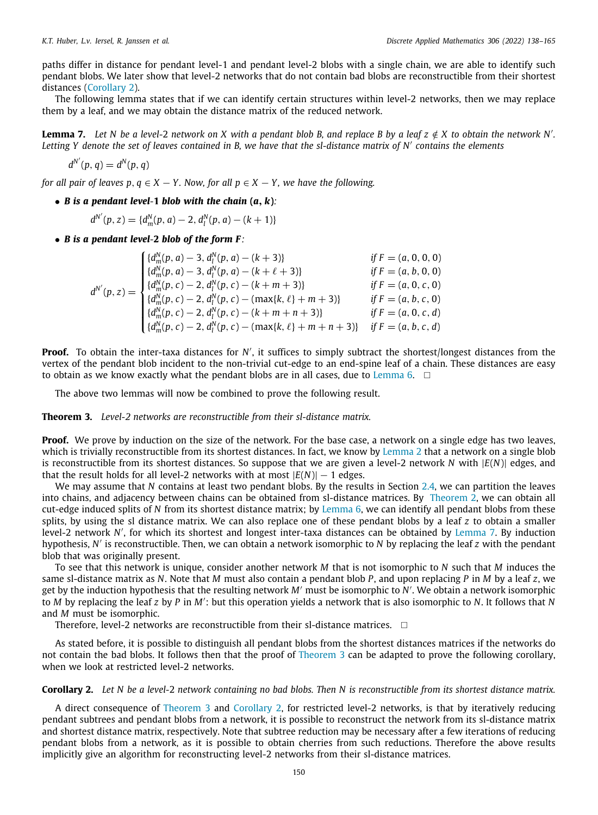paths differ in distance for pendant level-1 and pendant level-2 blobs with a single chain, we are able to identify such pendant blobs. We later show that level-2 networks that do not contain bad blobs are reconstructible from their shortest distances ([Corollary](#page-12-1) [2](#page-12-1)).

The following lemma states that if we can identify certain structures within level-2 networks, then we may replace them by a leaf, and we may obtain the distance matrix of the reduced network.

<span id="page-12-2"></span>**Lemma 7.** Let N be a level-2 network on X with a pendant blob B, and replace B by a leaf  $z \notin X$  to obtain the network N'. *Letting Y denote the set of leaves contained in B, we have that the sl-distance matrix of N*′ *contains the elements*

$$
d^{N'}(p,q) = d^N(p,q)
$$

*for all pair of leaves p,*  $q \in X - Y$ *. Now, for all*  $p \in X - Y$ *, we have the following.* 

• *B* is a pendant level-1 blob with the chain  $(a, k)$ :

 $d^{N'}(p, z) = \{d_m^N(p, a) - 2, d_l^N(p, a) - (k + 1)\}$ 

• *B is a pendant level-***2** *blob of the form F:*

|                    | $\left\{ \{d_m^N(p,a)-3, d_l^N(p,a)-(k+3)\}\right\}$                                                                                                                                                                                                                                                                        | if $F = (a, 0, 0, 0)$ |
|--------------------|-----------------------------------------------------------------------------------------------------------------------------------------------------------------------------------------------------------------------------------------------------------------------------------------------------------------------------|-----------------------|
|                    |                                                                                                                                                                                                                                                                                                                             | if $F = (a, b, 0, 0)$ |
| $d^{N'}(p, z) =$ ' |                                                                                                                                                                                                                                                                                                                             | if $F = (a, 0, c, 0)$ |
|                    |                                                                                                                                                                                                                                                                                                                             | if $F = (a, b, c, 0)$ |
|                    |                                                                                                                                                                                                                                                                                                                             | if $F = (a, 0, c, d)$ |
|                    | $\begin{cases}\n\{d_m^N(p, a) - 3, d_l^N(p, a) - (k + \ell + 3)\} \\ \{d_m^N(p, c) - 2, d_l^N(p, c) - (k + m + 3)\} \\ \{d_m^N(p, c) - 2, d_l^N(p, c) - (\max\{k, \ell\} + m + 3)\} \\ \{d_m^N(p, c) - 2, d_l^N(p, c) - (k + m + n + 3)\} \\ \{d_m^N(p, c) - 2, d_l^N(p, c) - (\max\{k, \ell\} + m + n + 3)\}\n\end{cases}$ | if $F = (a, b, c, d)$ |

**Proof.** To obtain the inter-taxa distances for *N'*, it suffices to simply subtract the shortest/longest distances from the vertex of the pendant blob incident to the non-trivial cut-edge to an end-spine leaf of a chain. These distances are easy to obtain as we know exactly what the pendant blobs are in all cases, due to [Lemma](#page-11-0) [6.](#page-11-0)  $\square$ 

The above two lemmas will now be combined to prove the following result.

<span id="page-12-0"></span>**Theorem 3.** *Level-2 networks are reconstructible from their sl-distance matrix.*

**Proof.** We prove by induction on the size of the network. For the base case, a network on a single edge has two leaves, which is trivially reconstructible from its shortest distances. In fact, we know by [Lemma](#page-5-3) [2](#page-5-3) that a network on a single blob is reconstructible from its shortest distances. So suppose that we are given a level-2 network *N* with |*E*(*N*)| edges, and that the result holds for all level-2 networks with at most  $|E(N)| - 1$  edges.

We may assume that *N* contains at least two pendant blobs. By the results in Section [2.4,](#page-5-4) we can partition the leaves into chains, and adjacency between chains can be obtained from sl-distance matrices. By [Theorem](#page-7-2) [2,](#page-7-2) we can obtain all cut-edge induced splits of *N* from its shortest distance matrix; by [Lemma](#page-11-0) [6,](#page-11-0) we can identify all pendant blobs from these splits, by using the sl distance matrix. We can also replace one of these pendant blobs by a leaf *z* to obtain a smaller level-2 network *N* ′ , for which its shortest and longest inter-taxa distances can be obtained by [Lemma](#page-12-2) [7.](#page-12-2) By induction hypothesis, *N* ′ is reconstructible. Then, we can obtain a network isomorphic to *N* by replacing the leaf *z* with the pendant blob that was originally present.

To see that this network is unique, consider another network *M* that is not isomorphic to *N* such that *M* induces the same sl-distance matrix as *N*. Note that *M* must also contain a pendant blob *P*, and upon replacing *P* in *M* by a leaf *z*, we get by the induction hypothesis that the resulting network *M*′ must be isomorphic to *N* ′ . We obtain a network isomorphic to *M* by replacing the leaf *z* by *P* in *M*′ : but this operation yields a network that is also isomorphic to *N*. It follows that *N* and *M* must be isomorphic.

Therefore, level-2 networks are reconstructible from their sl-distance matrices.  $\Box$ 

As stated before, it is possible to distinguish all pendant blobs from the shortest distances matrices if the networks do not contain the bad blobs. It follows then that the proof of [Theorem](#page-12-0) [3](#page-12-0) can be adapted to prove the following corollary, when we look at restricted level-2 networks.

<span id="page-12-1"></span>**Corollary 2.** *Let N be a level-*2 *network containing no bad blobs. Then N is reconstructible from its shortest distance matrix.*

A direct consequence of [Theorem](#page-12-0) [3](#page-12-0) and [Corollary](#page-12-1) [2](#page-12-1), for restricted level-2 networks, is that by iteratively reducing pendant subtrees and pendant blobs from a network, it is possible to reconstruct the network from its sl-distance matrix and shortest distance matrix, respectively. Note that subtree reduction may be necessary after a few iterations of reducing pendant blobs from a network, as it is possible to obtain cherries from such reductions. Therefore the above results implicitly give an algorithm for reconstructing level-2 networks from their sl-distance matrices.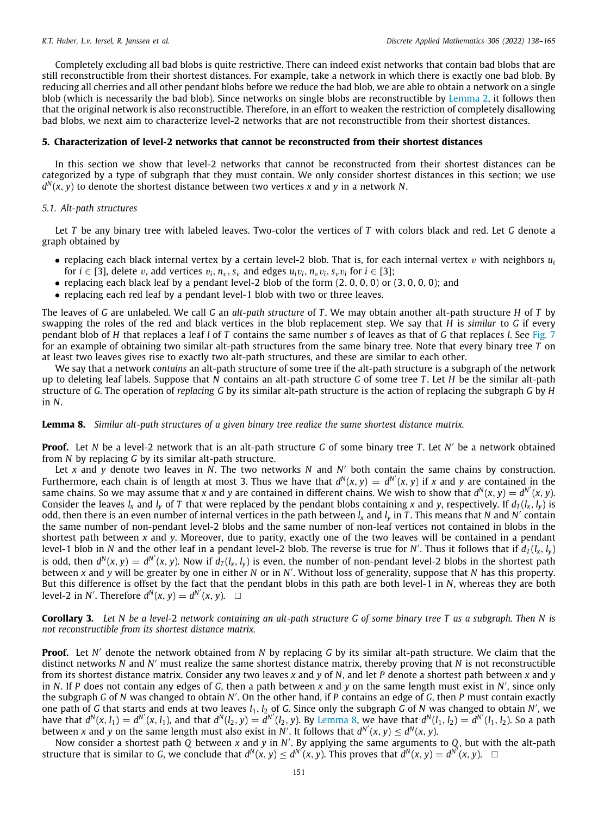Completely excluding all bad blobs is quite restrictive. There can indeed exist networks that contain bad blobs that are still reconstructible from their shortest distances. For example, take a network in which there is exactly one bad blob. By reducing all cherries and all other pendant blobs before we reduce the bad blob, we are able to obtain a network on a single blob (which is necessarily the bad blob). Since networks on single blobs are reconstructible by [Lemma](#page-5-3) [2,](#page-5-3) it follows then that the original network is also reconstructible. Therefore, in an effort to weaken the restriction of completely disallowing bad blobs, we next aim to characterize level-2 networks that are not reconstructible from their shortest distances.

#### **5. Characterization of level-2 networks that cannot be reconstructed from their shortest distances**

<span id="page-13-0"></span>In this section we show that level-2 networks that cannot be reconstructed from their shortest distances can be categorized by a type of subgraph that they must contain. We only consider shortest distances in this section; we use *d N* (*x*, *y*) to denote the shortest distance between two vertices *x* and *y* in a network *N*.

#### *5.1. Alt-path structures*

Let *T* be any binary tree with labeled leaves. Two-color the vertices of *T* with colors black and red. Let *G* denote a graph obtained by

- replacing each black internal vertex by a certain level-2 blob. That is, for each internal vertex  $v$  with neighbors  $u_i$ for  $i \in [3]$ , delete v, add vertices  $v_i$ ,  $n_v$ ,  $s_v$  and edges  $u_i v_i$ ,  $n_v v_i$ ,  $s_v v_i$  for  $i \in [3]$ ;
- replacing each black leaf by a pendant level-2 blob of the form  $(2, 0, 0, 0)$  or  $(3, 0, 0, 0)$ ; and
- replacing each red leaf by a pendant level-1 blob with two or three leaves.

The leaves of *G* are unlabeled. We call *G* an *alt-path structure* of *T* . We may obtain another alt-path structure *H* of *T* by swapping the roles of the red and black vertices in the blob replacement step. We say that *H* is *similar* to *G* if every pendant blob of *H* that replaces a leaf *l* of *T* contains the same number *s* of leaves as that of *G* that replaces *l*. See [Fig.](#page-14-0) [7](#page-14-0) for an example of obtaining two similar alt-path structures from the same binary tree. Note that every binary tree *T* on at least two leaves gives rise to exactly two alt-path structures, and these are similar to each other.

We say that a network *contains* an alt-path structure of some tree if the alt-path structure is a subgraph of the network up to deleting leaf labels. Suppose that *N* contains an alt-path structure *G* of some tree *T* . Let *H* be the similar alt-path structure of *G*. The operation of *replacing G* by its similar alt-path structure is the action of replacing the subgraph *G* by *H* in *N*.

<span id="page-13-1"></span>**Lemma 8.** *Similar alt-path structures of a given binary tree realize the same shortest distance matrix.*

**Proof.** Let *N* be a level-2 network that is an alt-path structure *G* of some binary tree *T*. Let *N'* be a network obtained from *N* by replacing *G* by its similar alt-path structure.

Let *x* and *y* denote two leaves in *N*. The two networks *N* and *N* ′ both contain the same chains by construction. Furthermore, each chain is of length at most 3. Thus we have that  $d^N(x, y) = d^{N'}(x, y)$  if *x* and *y* are contained in the same chains. So we may assume that *x* and *y* are contained in different chains. We wish to show that  $d^N(x, y) = d^{N'}(x, y)$ . Consider the leaves  $l_x$  and  $l_y$  of *T* that were replaced by the pendant blobs containing *x* and *y*, respectively. If  $d_T(l_x, l_y)$  is odd, then there is an even number of internal vertices in the path between *l<sup>x</sup>* and *l<sup>y</sup>* in *T* . This means that *N* and *N* ′ contain the same number of non-pendant level-2 blobs and the same number of non-leaf vertices not contained in blobs in the shortest path between *x* and *y*. Moreover, due to parity, exactly one of the two leaves will be contained in a pendant level-1 blob in *N* and the other leaf in a pendant level-2 blob. The reverse is true for *N'*. Thus it follows that if  $d_T(l_x,l_y)$ is odd, then  $d^N(x, y) = d^{N'}(x, y)$ . Now if  $d_T(l_x, l_y)$  is even, the number of non-pendant level-2 blobs in the shortest path between *x* and *y* will be greater by one in either *N* or in *N* ′ . Without loss of generality, suppose that *N* has this property. But this difference is offset by the fact that the pendant blobs in this path are both level-1 in *N*, whereas they are both level-2 in *N'*. Therefore  $d^N(x, y) = d^{N'}(x, y)$ .  $\Box$ 

<span id="page-13-2"></span>**Corollary 3.** *Let N be a level-*2 *network containing an alt-path structure G of some binary tree T as a subgraph. Then N is not reconstructible from its shortest distance matrix.*

**Proof.** Let *N* ′ denote the network obtained from *N* by replacing *G* by its similar alt-path structure. We claim that the distinct networks *N* and *N* ′ must realize the same shortest distance matrix, thereby proving that *N* is not reconstructible from its shortest distance matrix. Consider any two leaves *x* and *y* of *N*, and let *P* denote a shortest path between *x* and *y* in *N*. If *P* does not contain any edges of *G*, then a path between *x* and *y* on the same length must exist in *N* ′ , since only the subgraph *G* of *N* was changed to obtain *N* ′ . On the other hand, if *P* contains an edge of *G*, then *P* must contain exactly one path of *G* that starts and ends at two leaves *l*1, *l*<sup>2</sup> of *G*. Since only the subgraph *G* of *N* was changed to obtain *N* ′ , we have that  $d^N(x, l_1) = d^{N'}(x, l_1)$ , and that  $d^N(l_2, y) = d^{N'}(l_2, y)$ . By [Lemma](#page-13-1) [8](#page-13-1), we have that  $d^N(l_1, l_2) = d^{N'}(l_1, l_2)$ . So a path between *x* and *y* on the same length must also exist in *N'*. It follows that  $d^{N'}(x, y) \leq d^{N}(x, y)$ .

Now consider a shortest path *Q* between *x* and *y* in *N* ′ . By applying the same arguments to *Q*, but with the alt-path structure that is similar to G, we conclude that  $d^N(x, y) \le d^{N'}(x, y)$ . This proves that  $d^N(x, y) = d^{N'}(x, y)$ .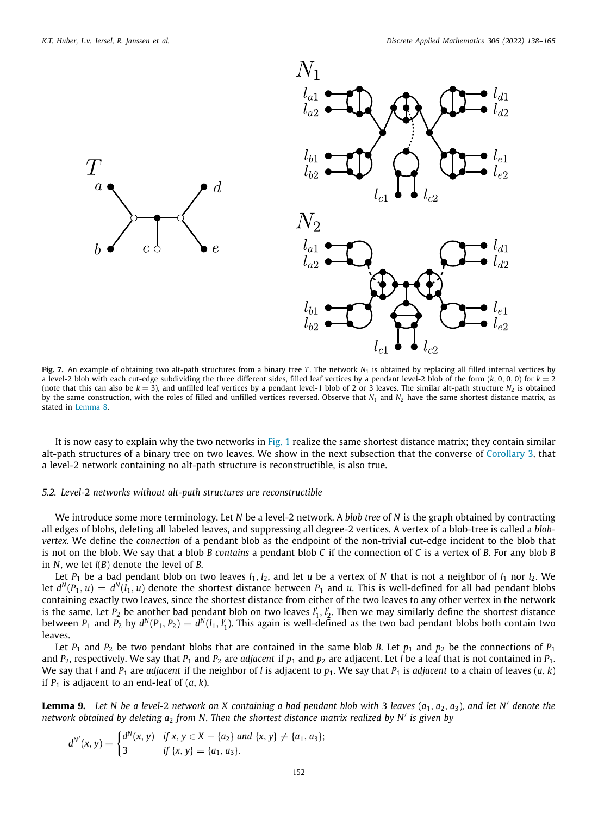$\tau$ 



<span id="page-14-0"></span>**Fig. 7.** An example of obtaining two alt-path structures from a binary tree *T*. The network  $N_1$  is obtained by replacing all filled internal vertices by a level-2 blob with each cut-edge subdividing the three different sides, filled leaf vertices by a pendant level-2 blob of the form  $(k, 0, 0, 0)$  for  $k = 2$ (note that this can also be  $k = 3$ ), and unfilled leaf vertices by a pendant level-1 blob of 2 or 3 leaves. The similar alt-path structure *N*<sub>2</sub> is obtained by the same construction, with the roles of filled and unfilled vertices reversed. Observe that  $N_1$  and  $N_2$  have the same shortest distance matrix, as stated in [Lemma](#page-13-1) [8.](#page-13-1)

It is now easy to explain why the two networks in [Fig.](#page-1-3) [1](#page-1-3) realize the same shortest distance matrix; they contain similar alt-path structures of a binary tree on two leaves. We show in the next subsection that the converse of [Corollary](#page-13-2) [3,](#page-13-2) that a level-2 network containing no alt-path structure is reconstructible, is also true.

#### *5.2. Level-*2 *networks without alt-path structures are reconstructible*

We introduce some more terminology. Let *N* be a level-2 network. A *blob tree* of *N* is the graph obtained by contracting all edges of blobs, deleting all labeled leaves, and suppressing all degree-2 vertices. A vertex of a blob-tree is called a *blobvertex*. We define the *connection* of a pendant blob as the endpoint of the non-trivial cut-edge incident to the blob that is not on the blob. We say that a blob *B contains* a pendant blob *C* if the connection of *C* is a vertex of *B*. For any blob *B* in *N*, we let *l*(*B*) denote the level of *B*.

Let  $P_1$  be a bad pendant blob on two leaves  $l_1$ ,  $l_2$ , and let *u* be a vertex of *N* that is not a neighbor of  $l_1$  nor  $l_2$ . We let  $d^N(P_1,u) = d^N(l_1,u)$  denote the shortest distance between  $P_1$  and  $u$ . This is well-defined for all bad pendant blobs containing exactly two leaves, since the shortest distance from either of the two leaves to any other vertex in the network is the same. Let  $P_2$  be another bad pendant blob on two leaves  $l'_1, l'_2$ . Then we may similarly define the shortest distance between  $P_1$  and  $P_2$  by  $d^N(P_1, P_2) = d^N(l_1, l'_1)$ . This again is well-defined as the two bad pendant blobs both contain two leaves.

Let  $P_1$  and  $P_2$  be two pendant blobs that are contained in the same blob *B*. Let  $p_1$  and  $p_2$  be the connections of  $P_1$ and  $P_2$ , respectively. We say that  $P_1$  and  $P_2$  are *adjacent* if  $p_1$  and  $p_2$  are adjacent. Let *l* be a leaf that is not contained in  $P_1$ . We say that *l* and  $P_1$  are *adjacent* if the neighbor of *l* is adjacent to  $p_1$ . We say that  $P_1$  is *adjacent* to a chain of leaves  $(a, k)$ if  $P_1$  is adjacent to an end-leaf of  $(a, k)$ .

<span id="page-14-1"></span>**Lemma 9.** Let N be a level-2 network on X containing a bad pendant blob with 3 leaves  $(a_1, a_2, a_3)$ , and let N' denote the *network obtained by deleting a*<sup>2</sup> *from N. Then the shortest distance matrix realized by N*′ *is given by*

$$
d^{N'}(x, y) = \begin{cases} d^N(x, y) & \text{if } x, y \in X - \{a_2\} \text{ and } \{x, y\} \neq \{a_1, a_3\}; \\ 3 & \text{if } \{x, y\} = \{a_1, a_3\}. \end{cases}
$$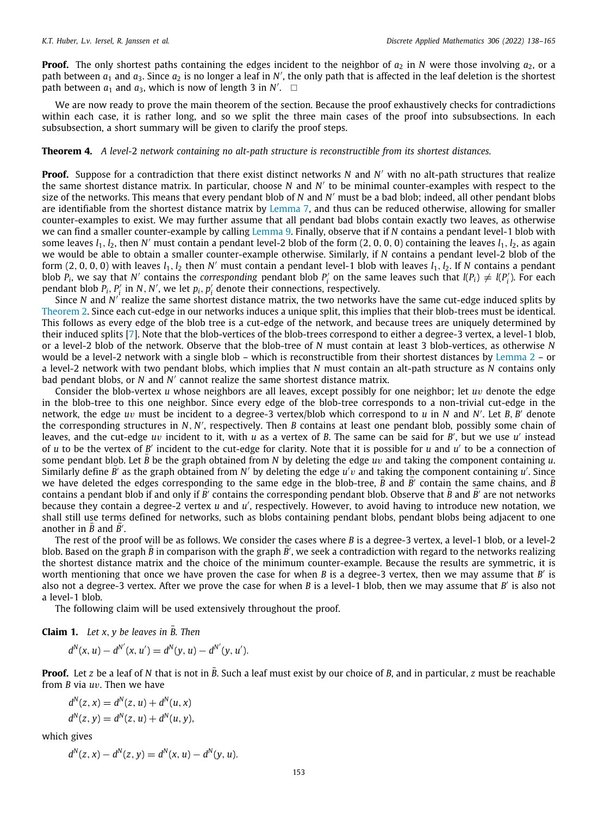**Proof.** The only shortest paths containing the edges incident to the neighbor of  $a_2$  in *N* were those involving  $a_2$ , or a path between  $a_1$  and  $a_3$ . Since  $a_2$  is no longer a leaf in N', the only path that is affected in the leaf deletion is the shortest path between  $a_1$  and  $a_3$ , which is now of length 3 in *N'*.  $\Box$ 

We are now ready to prove the main theorem of the section. Because the proof exhaustively checks for contradictions within each case, it is rather long, and so we split the three main cases of the proof into subsubsections. In each subsubsection, a short summary will be given to clarify the proof steps.

#### <span id="page-15-0"></span>**Theorem 4.** *A level-*2 *network containing no alt-path structure is reconstructible from its shortest distances.*

**Proof.** Suppose for a contradiction that there exist distinct networks *N* and *N* ′ with no alt-path structures that realize the same shortest distance matrix. In particular, choose *N* and *N* ′ to be minimal counter-examples with respect to the size of the networks. This means that every pendant blob of *N* and *N* ′ must be a bad blob; indeed, all other pendant blobs are identifiable from the shortest distance matrix by [Lemma](#page-12-2) [7](#page-12-2), and thus can be reduced otherwise, allowing for smaller counter-examples to exist. We may further assume that all pendant bad blobs contain exactly two leaves, as otherwise we can find a smaller counter-example by calling [Lemma](#page-14-1) [9.](#page-14-1) Finally, observe that if *N* contains a pendant level-1 blob with some leaves *l*1, *l*2, then *N* ′ must contain a pendant level-2 blob of the form (2, 0, 0, 0) containing the leaves *l*1, *l*2, as again we would be able to obtain a smaller counter-example otherwise. Similarly, if *N* contains a pendant level-2 blob of the form (2, 0, 0, 0) with leaves *l*1, *l*<sup>2</sup> then *N* ′ must contain a pendant level-1 blob with leaves *l*1, *l*2. If *N* contains a pendant blob  $P_i$ , we say that  $N'$  contains the *corresponding* pendant blob  $P'_i$  on the same leaves such that  $I(P_i) \neq I(P'_i)$ . For each pendant blob  $P_i$ ,  $P'_i$  in  $N$ ,  $N'$ , we let  $p_i$ ,  $p'_i$  denote their connections, respectively.

Since *N* and *N'* realize the same shortest distance matrix, the two networks have the same cut-edge induced splits by [Theorem](#page-7-2) [2](#page-7-2). Since each cut-edge in our networks induces a unique split, this implies that their blob-trees must be identical. This follows as every edge of the blob tree is a cut-edge of the network, and because trees are uniquely determined by their induced splits [\[7](#page-27-16)]. Note that the blob-vertices of the blob-trees correspond to either a degree-3 vertex, a level-1 blob, or a level-2 blob of the network. Observe that the blob-tree of *N* must contain at least 3 blob-vertices, as otherwise *N* would be a level-2 network with a single blob – which is reconstructible from their shortest distances by [Lemma](#page-5-3) [2](#page-5-3) – or a level-2 network with two pendant blobs, which implies that *N* must contain an alt-path structure as *N* contains only bad pendant blobs, or *N* and *N* ′ cannot realize the same shortest distance matrix.

Consider the blob-vertex *u* whose neighbors are all leaves, except possibly for one neighbor; let *u*v denote the edge in the blob-tree to this one neighbor. Since every edge of the blob-tree corresponds to a non-trivial cut-edge in the network, the edge *u*v must be incident to a degree-3 vertex/blob which correspond to *u* in *N* and *N* ′ . Let *B*, *B* ′ denote the corresponding structures in *N*, *N'*, respectively. Then *B* contains at least one pendant blob, possibly some chain of leaves, and the cut-edge *u*v incident to it, with *u* as a vertex of *B*. The same can be said for *B* ′ , but we use *u* ′ instead of *u* to be the vertex of *B'* incident to the cut-edge for clarity. Note that it is possible for *u* and *u'* to be a connection of some pendant blob. Let  $\bar{B}$  be the graph obtained from  $N$  by deleting the edge  $uv$  and taking the component containing  $u$ . Similarly define  $\bar{B}'$  as the graph obtained from *N'* by deleting the edge *u'v* and taking the component containing *u'*. Since we have deleted the edges corresponding to the same edge in the blob-tree,  $\bar{B}$  and  $\bar{B}$ <sup> $\prime$ </sup> contain the same chains, and  $\bar{B}$ contains a pendant blob if and only if *B*<sup> $′$ </sup> contains the corresponding pendant blob. Observe that *B* and *B*<sup> $′$ </sup> are not networks because they contain a degree-2 vertex *u* and *u'*, respectively. However, to avoid having to introduce new notation, we shall still use terms defined for networks, such as blobs containing pendant blobs, pendant blobs being adjacent to one another in  $\bar{B}$  and  $\bar{B'}$ .

The rest of the proof will be as follows. We consider the cases where *B* is a degree-3 vertex, a level-1 blob, or a level-2 blob. Based on the graph  $\bar{B}$  in comparison with the graph  $\bar{B}'$ , we seek a contradiction with regard to the networks realizing the shortest distance matrix and the choice of the minimum counter-example. Because the results are symmetric, it is worth mentioning that once we have proven the case for when *B* is a degree-3 vertex, then we may assume that *B'* is also not a degree-3 vertex. After we prove the case for when *B* is a level-1 blob, then we may assume that *B* ′ is also not a level-1 blob.

The following claim will be used extensively throughout the proof.

<span id="page-15-1"></span>**Claim 1.** Let  $x, y$  be leaves in B. Then

$$
d^N(x, u) - d^{N'}(x, u') = d^N(y, u) - d^{N'}(y, u').
$$

**Proof.** Let *z* be a leaf of *N* that is not in  $\bar{B}$ . Such a leaf must exist by our choice of *B*, and in particular, *z* must be reachable from *B* via *u*v. Then we have

$$
d^{N}(z, x) = d^{N}(z, u) + d^{N}(u, x)
$$
  

$$
d^{N}(z, y) = d^{N}(z, u) + d^{N}(u, y),
$$

which gives

$$
d^{N}(z, x) - d^{N}(z, y) = d^{N}(x, u) - d^{N}(y, u).
$$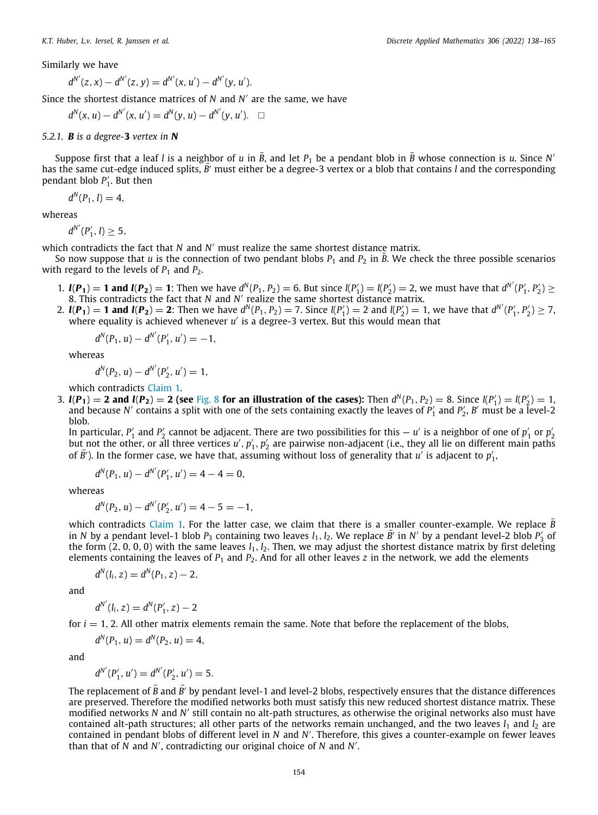Similarly we have

$$
d^{N'}(z, x) - d^{N'}(z, y) = d^{N'}(x, u') - d^{N'}(y, u').
$$

Since the shortest distance matrices of *N* and *N* ′ are the same, we have

$$
d^N(x, u) - d^{N'}(x, u') = d^N(y, u) - d^{N'}(y, u'). \quad \Box
$$

#### <span id="page-16-0"></span>*5.2.1. B is a degree-***3** *vertex in N*

Suppose first that a leaf *l* is a neighbor of *u* in  $\bar{B}$ , and let  $P_1$  be a pendant blob in  $\bar{B}$  whose connection is *u*. Since N' has the same cut-edge induced splits,  $\vec{B'}$  must either be a degree-3 vertex or a blob that contains *l* and the corresponding pendant blob  $P'_1$ . But then

$$
d^N(P_1, l) = 4,
$$

whereas

$$
d^{N'}(P'_1, l) \geq 5,
$$

which contradicts the fact that *N* and *N* ′ must realize the same shortest distance matrix.

So now suppose that *u* is the connection of two pendant blobs  $P_1$  and  $P_2$  in  $\bar{B}$ . We check the three possible scenarios with regard to the levels of  $P_1$  and  $P_2$ .

- 1.  $I(P_1) = 1$  and  $I(P_2) = 1$ : Then we have  $d^N(P_1, P_2) = 6$ . But since  $I(P_1') = I(P_2') = 2$ , we must have that  $d^{N'}(P_1', P_2') \ge$ 8. This contradicts the fact that *N* and *N'* realize the same shortest distance matrix.
- 2.  $I(P_1) = 1$  and  $I(P_2) = 2$ : Then we have  $d^N(P_1, P_2) = 7$ . Since  $I(P'_1) = 2$  and  $I(P'_2) = 1$ , we have that  $d^{N'}(P'_1, P'_2) \ge 7$ , where equality is achieved whenever u' is a degree-3 vertex. But this would mean that

$$
d^N(P_1, u) - d^{N'}(P'_1, u') = -1,
$$

whereas

$$
d^N(P_2, u) - d^{N'}(P'_2, u') = 1,
$$

which contradicts [Claim](#page-15-1) [1](#page-15-1).

3.  $I(P_1) = 2$  and  $I(P_2) = 2$  (see [Fig.](#page-17-0) [8](#page-17-0) for an illustration of the cases): Then  $d^N(P_1, P_2) = 8$ . Since  $I(P'_1) = I(P'_2) = 1$ , and because *N'* contains a split with one of the sets containing exactly the leaves of  $P'_1$  and  $P'_2$ , *B'* must be a level-2 blob.

In particular,  $P'_1$  and  $P'_2$  cannot be adjacent. There are two possibilities for this — *u'* is a neighbor of one of  $p'_1$  or  $p'_2$ but not the other, or all three vertices *u'*, *p'*<sub>1</sub>, *p'*<sub>2</sub> are pairwise non-adjacent (i.e., they all lie on different main paths of  $\bar{B}'$ ). In the former case, we have that, assuming without loss of generality that *u'* is adjacent to  $p'_1$ ,

$$
d^N(P_1, u) - d^{N'}(P'_1, u') = 4 - 4 = 0,
$$

whereas

$$
d^N(P_2, u) - d^{N'}(P'_2, u') = 4 - 5 = -1,
$$

which contradicts [Claim](#page-15-1) [1](#page-15-1). For the latter case, we claim that there is a smaller counter-example. We replace  $\vec{B}$ in *N* by a pendant level-1 blob  $P_3$  containing two leaves  $l_1$ ,  $l_2$ . We replace *B'* in *N'* by a pendant level-2 blob  $P'_3$  of the form  $(2, 0, 0, 0)$  with the same leaves  $l_1, l_2$ . Then, we may adjust the shortest distance matrix by first deleting elements containing the leaves of *P*<sup>1</sup> and *P*2. And for all other leaves *z* in the network, we add the elements

$$
d^N(l_i, z) = d^N(P_1, z) - 2,
$$

and

$$
d^{N'}(l_i, z) = d^N(P'_1, z) - 2
$$

for  $i = 1, 2$ . All other matrix elements remain the same. Note that before the replacement of the blobs,

$$
d^N(P_1, u) = d^N(P_2, u) = 4,
$$

and

$$
d^{N'}(P'_1, u') = d^{N'}(P'_2, u') = 5.
$$

The replacement of  $\bar{B}$  and  $\bar{B}'$  by pendant level-1 and level-2 blobs, respectively ensures that the distance differences are preserved. Therefore the modified networks both must satisfy this new reduced shortest distance matrix. These modified networks *N* and *N* ′ still contain no alt-path structures, as otherwise the original networks also must have contained alt-path structures; all other parts of the networks remain unchanged, and the two leaves  $l_1$  and  $l_2$  are contained in pendant blobs of different level in *N* and *N* ′ . Therefore, this gives a counter-example on fewer leaves than that of  $\dot{N}$  and  $N'$ , contradicting our original choice of  $N$  and  $N'$ .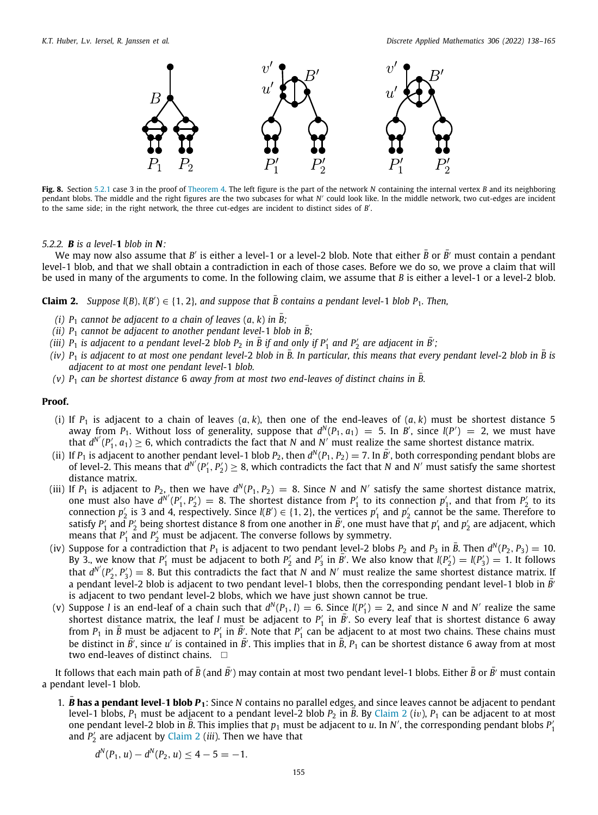

<span id="page-17-0"></span>**Fig. 8.** Section [5.2.1](#page-16-0) case 3 in the proof of [Theorem](#page-15-0) [4.](#page-15-0) The left figure is the part of the network *N* containing the internal vertex *B* and its neighboring pendant blobs. The middle and the right figures are the two subcases for what *N'* could look like. In the middle network, two cut-edges are incident to the same side; in the right network, the three cut-edges are incident to distinct sides of *B* ′ .

#### *5.2.2. B is a level-***1** *blob in N:*

We may now also assume that *B'* is either a level-1 or a level-2 blob. Note that either  $\bar{B}$  or  $\bar{B'}$  must contain a pendant level-1 blob, and that we shall obtain a contradiction in each of those cases. Before we do so, we prove a claim that will be used in many of the arguments to come. In the following claim, we assume that *B* is either a level-1 or a level-2 blob.

<span id="page-17-1"></span>**Claim 2.** *Suppose l(B), l(B')*  $\in$  {1, 2}*, and suppose that*  $\overline{B}$  contains a pendant level-1 blob  $P_1$ *. Then,* 

- *(i)*  $P_1$  *cannot be adjacent to a chain of leaves*  $(a, k)$  *in*  $\overline{B}$ ;
- *(ii)*  $P_1$  *cannot be adjacent to another pendant level-1 blob in*  $\overline{B}$ ;
- $\bar{B}$  *iii)*  $P_1$  *is adjacent to a pendant level-2 blob*  $P_2$  *in*  $\bar{B}$  *if and only if*  $P'_1$  *and*  $P'_2$  *are adjacent in*  $\bar{B'}$ *;*
- *(iv)*  $P_1$  *is adjacent to at most one pendant level-2 blob in*  $\bar{B}$ . In particular, this means that every pendant level-2 blob in  $\bar{B}$  is *adjacent to at most one pendant level-*1 *blob.*
- $(v)$   $P_1$  *can be shortest distance* 6 *away from at most two end-leaves of distinct chains in*  $\overline{B}$ *.*

#### **Proof.**

- (i) If  $P_1$  is adjacent to a chain of leaves  $(a, k)$ , then one of the end-leaves of  $(a, k)$  must be shortest distance 5 away from  $P_1$ . Without loss of generality, suppose that  $d^N(P_1, a_1) = 5$ . In *B'*, since  $l(P') = 2$ , we must have that  $d^{N'}(P'_1, a_1) \ge 6$ , which contradicts the fact that *N* and *N'* must realize the same shortest distance matrix.
- (ii) If  $P_1$  is adjacent to another pendant level-1 blob  $P_2$ , then  $d^N(P_1, P_2) = 7$ . In  $\bar{B'}$ , both corresponding pendant blobs are of level-2. This means that  $d^{N'}(P'_1, P'_2) \geq 8$ , which contradicts the fact that *N* and *N*' must satisfy the same shortest distance matrix.
- (iii) If  $P_1$  is adjacent to  $P_2$ , then we have  $d^N(P_1, P_2) = 8$ . Since N and N' satisfy the same shortest distance matrix, one must also have  $d^{N'}(P'_1, P'_2) = 8$ . The shortest distance from  $P'_1$  to its connection  $p'_1$ , and that from  $P'_2$  to its connection  $p'_2$  is 3 and 4, respectively. Since  $l(B') \in \{1, 2\}$ , the vertices  $p'_1$  and  $p'_2$  cannot be the same. Therefore to satisfy  $P'_1$  and  $P'_2$  being shortest distance 8 from one another in  $\bar{B}'$ , one must have that  $p'_1$  and  $p'_2$  are adjacent, which means that  $P'_1$  and  $P'_2$  must be adjacent. The converse follows by symmetry.
- (iv) Suppose for a contradiction that  $P_1$  is adjacent to two pendant level-2 blobs  $P_2$  and  $P_3$  in  $\bar{B}$ . Then  $d^N(P_2, P_3) = 10$ . By 3., we know that  $P'_1$  must be adjacent to both  $P'_2$  and  $P'_3$  in  $\bar{B'}$ . We also know that  $l(P'_2) = l(P'_3) = 1$ . It follows that  $d^{N'}(P'_2, P'_3) = 8$ . But this contradicts the fact that *N* and *N'* must realize the same shortest distance matrix. If a pendant level-2 blob is adjacent to two pendant level-1 blobs, then the corresponding pendant level-1 blob in  $\bar{B'}$ is adjacent to two pendant level-2 blobs, which we have just shown cannot be true.
- (v) Suppose *l* is an end-leaf of a chain such that  $d^N(P_1, l) = 6$ . Since  $l(P'_1) = 2$ , and since *N* and *N'* realize the same shortest distance matrix, the leaf *l* must be adjacent to  $P'_1$  in  $\bar{B}'$ . So every leaf that is shortest distance 6 away from  $P_1$  in  $\bar{B}$  must be adjacent to  $P'_1$  in  $\bar{B}'$ . Note that  $P'_1$  can be adjacent to at most two chains. These chains must be distinct in  $\bar{B'}$ , since u' is contained in  $\bar{B'}$ . This implies that in  $\bar{B}$ ,  $P_1$  can be shortest distance 6 away from at most two end-leaves of distinct chains.  $\square$

It follows that each main path of  $\bar{B}$  (and  $\bar{B'}$ ) may contain at most two pendant level-1 blobs. Either  $\bar{B}$  or  $\bar{B'}$  must contain a pendant level-1 blob.

1. *<sup>B</sup>*¯ **has a pendant level**-**1 blob** *<sup>P</sup>***1**: Since *<sup>N</sup>* contains no parallel edges, and since leaves cannot be adjacent to pendant level-1 blobs,  $P_1$  must be adjacent to a pendant level-[2](#page-17-1) blob  $P_2$  in *B*. By [Claim](#page-17-1) 2 (*iv*),  $P_1$  can be adjacent to at most one pendant level-2 blob in *B*. This implies that  $p_1$  must be adjacent to *u*. In *N'*, the corresponding pendant blobs  $P'_1$ and *P* ′ 2 are adjacent by [Claim](#page-17-1) [2](#page-17-1) (*iii*). Then we have that

$$
d^N(P_1, u) - d^N(P_2, u) \le 4 - 5 = -1.
$$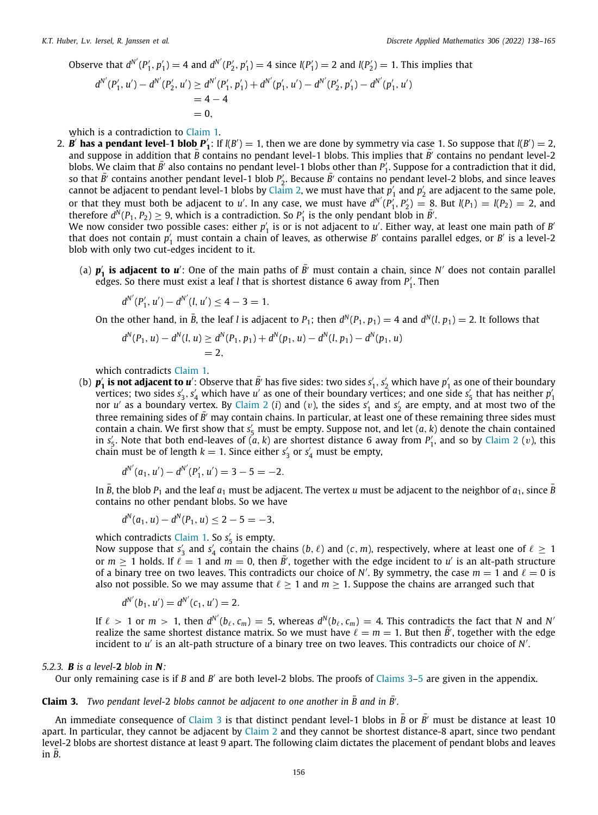Observe that  $d^{N'}(P'_1, p'_1) = 4$  and  $d^{N'}(P'_2, p'_1) = 4$  since  $l(P'_1) = 2$  and  $l(P'_2) = 1$ . This implies that

$$
d^{N'}(P'_1, u') - d^{N'}(P'_2, u') \ge d^{N'}(P'_1, p'_1) + d^{N'}(p'_1, u') - d^{N'}(P'_2, p'_1) - d^{N'}(p'_1, u')
$$
  
= 4 - 4  
= 0,

which is a contradiction to [Claim](#page-15-1) [1](#page-15-1).

2. **B' has a pendant level-1 blob**  $P'_1$ : If  $l(B') = 1$ , then we are done by symmetry via case 1. So suppose that  $l(B') = 2$ , and suppose in addition that  $\bar{B}$  contains no pendant level-1 blobs. This implies that  $\bar{B}$ <sup> $\bar{C}$ </sup> contains no pendant level-2 blobs. We claim that  $\bar{B}'$  also contains no pendant level-1 blobs other than  $P'_1$ . Suppose for a contradiction that it did, so that  $\bar{B'}$  contains another pendant level-1 blob  $P'_2$ . Because  $\bar{B'}$  contains no pendant level-2 blobs, and since leaves cannot be adjacent to pendant level-1 blobs by [Claim](#page-17-1) [2](#page-17-1), we must have that  $p'_1$  and  $p'_2$  are adjacent to the same pole, or that they must both be adjacent to *u'*. In any case, we must have  $d^{N'}(P'_1, P'_2) = 8$ . But  $l(P_1) = l(P_2) = 2$ , and therefore  $d^N(P_1, P_2) \geq 9$ , which is a contradiction. So  $P'_1$  is the only pendant blob in  $\bar{B}'$ .

We now consider two possible cases: either  $p'_1$  is or is not adjacent to  $u'$ . Either way, at least one main path of *B* that does not contain  $p'_1$  must contain a chain of leaves, as otherwise *B'* contains parallel edges, or *B'* is a level-2 blob with only two cut-edges incident to it.

(a)  $p'_1$  is adjacent to  $u'$ : One of the main paths of  $\bar{B'}$  must contain a chain, since N' does not contain parallel edges. So there must exist a leaf *l* that is shortest distance 6 away from *P*<sup>'</sup><sub>1</sub>. Then

$$
d^{N'}(P'_1, u') - d^{N'}(l, u') \le 4 - 3 = 1.
$$

On the other hand, in  $\bar{B}$ , the leaf *l* is adjacent to  $P_1$ ; then  $d^N(P_1, p_1) = 4$  and  $d^N(l, p_1) = 2$ . It follows that

$$
d^N(P_1, u) - d^N(l, u) \ge d^N(P_1, p_1) + d^N(p_1, u) - d^N(l, p_1) - d^N(p_1, u)
$$
  
= 2,

which contradicts [Claim](#page-15-1) [1](#page-15-1).

(b)  $p'_1$  is not adjacent to  $u'$ : Observe that  $\bar{B'}$  has five sides: two sides  $s'_1, s'_2$  which have  $p'_1$  as one of their boundary vertices; two sides  $s'_3$ ,  $s'_4$  which have *u'* as one of their boundary vertices; and one side  $s'_5$  that has neither  $p'_1$ nor *u'* as a boundary vertex. By [Claim](#page-17-1) [2](#page-17-1) (*i*) and (*v*), the sides  $s'_1$  and  $s'_2$  are empty, and at most two of the three remaining sides of  $\bar{B'}$ <sup> $\prime$ </sup> may contain chains. In particular, at least one of these remaining three sides must contain a chain. We first show that *s* ′ <sup>5</sup> must be empty. Suppose not, and let (*a*, *k*) denote the chain contained in  $s'_5$ . Note that both end-leaves of  $(a, k)$  are shortest distance 6 away from  $P'_1$ , and so by [Claim](#page-17-1) [2](#page-17-1) (v), this chain must be of length  $k = 1$ . Since either  $s'_3$  or  $s'_4$  must be empty,

$$
d^{N'}(a_1, u') - d^{N'}(P'_1, u') = 3 - 5 = -2.
$$

In  $\bar{B}$ , the blob  $P_1$  and the leaf  $a_1$  must be adjacent. The vertex *u* must be adjacent to the neighbor of  $a_1$ , since  $\bar{B}$ contains no other pendant blobs. So we have

$$
d^N(a_1, u) - d^N(P_1, u) \le 2 - 5 = -3,
$$

which contradicts [Claim](#page-15-1) [1](#page-15-1). So  $s'_5$  is empty.

Now suppose that  $s'_3$  and  $s'_4$  contain the chains (*b*,  $\ell$ ) and (*c*, *m*), respectively, where at least one of  $\ell \ge 1$ or  $m \geq 1$  holds. If  $\ell = 1$  and  $m = 0$ , then  $\bar{B}'$ , together with the edge incident to *u'* is an alt-path structure of a binary tree on two leaves. This contradicts our choice of *N'*. By symmetry, the case  $m = 1$  and  $\ell = 0$  is also not possible. So we may assume that  $\ell \geq 1$  and  $m \geq 1$ . Suppose the chains are arranged such that

$$
d^{N'}(b_1, u') = d^{N'}(c_1, u') = 2.
$$

If  $\ell > 1$  or  $m > 1$ , then  $d^{N'}(b_{\ell}, c_m) = 5$ , whereas  $d^N(b_{\ell}, c_m) = 4$ . This contradicts the fact that *N* and *N*<sup>*'*</sup> realize the same shortest distance matrix. So we must have  $\ell = m = 1$ . But then  $\bar{B}'$ , together with the edge incident to u' is an alt-path structure of a binary tree on two leaves. This contradicts our choice of *N'*.

#### *5.2.3. B is a level-***2** *blob in N:*

Our only remaining case is if *B* and *B'* are both level-2 blobs. The proofs of [Claims](#page-18-0) [3–](#page-18-0)[5](#page-19-0) are given in the appendix.

## <span id="page-18-0"></span>**Claim 3.** *Two pendant level-2 blobs cannot be adjacent to one another in*  $\overline{B}$  *and in*  $\overline{B'}$ *.*

<span id="page-18-1"></span>An immediate consequence of [Claim](#page-18-0) [3](#page-18-0) is that distinct pendant level-1 blobs in  $\bar{B}$  or  $\bar{B'}$  must be distance at least 10 apart. In particular, they cannot be adjacent by [Claim](#page-17-1)  $2$  and they cannot be shortest distance-8 apart, since two pendant level-2 blobs are shortest distance at least 9 apart. The following claim dictates the placement of pendant blobs and leaves  $in$   $B.$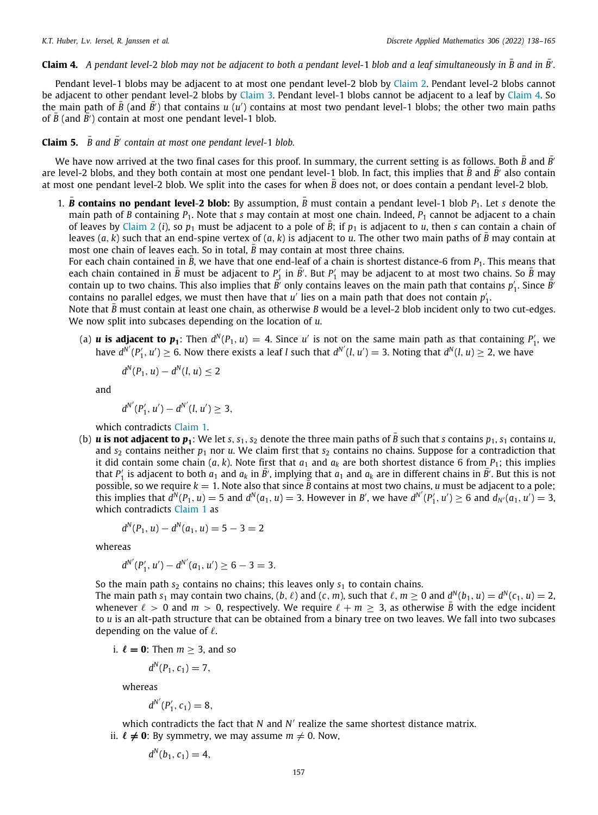Claim 4. A pendant level-2 blob may not be adjacent to both a pendant level-1 blob and a leaf simultaneously in  $\bar{B}$  and in  $\bar{B'}$ .

Pendant level-1 blobs may be adjacent to at most one pendant level-2 blob by [Claim](#page-17-1) [2](#page-17-1). Pendant level-2 blobs cannot be adjacent to other pendant level-2 blobs by [Claim](#page-18-1) [3](#page-18-0). Pendant level-1 blobs cannot be adjacent to a leaf by Claim [4](#page-18-1). So the main path of  $\bar{B}$  (and  $\bar{B'}$ ) that contains *u* (*u'*) contains at most two pendant level-1 blobs; the other two main paths of  $\bar{B}$  (and  $\bar{B'}$ ) contain at most one pendant level-1 blob.

<span id="page-19-0"></span>**Claim 5.**  $\bar{B}$  and  $\bar{B'}$  contain at most one pendant level-1 blob.

We have now arrived at the two final cases for this proof. In summary, the current setting is as follows. Both  $\bar{B}$  and  $\bar{B'}$ are level-2 blobs, and they both contain at most one pendant level-1 blob. In fact, this implies that  $\bar{B}$  and  $\bar{B'}$  also contain at most one pendant level-2 blob. We split into the cases for when  $\bar{B}$  does not, or does contain a pendant level-2 blob.

1. **B** contains no pendant level-2 blob: By assumption,  $\bar{B}$  must contain a pendant level-1 blob  $P_1$ . Let *s* denote the main path of *B* containing *P*<sub>1</sub>. Note that *s* may contain at most one chain. Indeed, *P*<sub>1</sub> cannot be adjacent to a chain of leaves by [Claim](#page-17-1) [2](#page-17-1) (*i*), so  $p_1$  must be adjacent to a pole of *B*; if  $p_1$  is adjacent to *u*, then *s* can contain a chain of leaves  $(a, k)$  such that an end-spine vertex of  $(a, k)$  is adjacent to *u*. The other two main paths of  $\bar{B}$  may contain at most one chain of leaves each. So in total,  $\overline{B}$  may contain at most three chains.

For each chain contained in  $\bar{B}$ , we have that one end-leaf of a chain is shortest distance-6 from  $P_1$ . This means that each chain contained in  $\bar{B}$  must be adjacent to  $P_1'$  in  $\bar{B'}$ . But  $P_1'$  may be adjacent to at most two chains. So  $\bar{B}$  may contain up to two chains. This also implies that  $\vec{B'}$  only contains leaves on the main path that contains  $p'_1$ . Since  $\bar{\vec{B}}$ contains no parallel edges, we must then have that  $u'$  lies on a main path that does not contain  $p'_1$ .

Note that  $\bar{B}$  must contain at least one chain, as otherwise *B* would be a level-2 blob incident only to two cut-edges. We now split into subcases depending on the location of *u*.

(a) *u* **is adjacent to**  $p_1$ **:** Then  $d^N(P_1, u) = 4$ . Since *u'* is not on the same main path as that containing  $P'_1$ , we have  $d^{N'}(P'_1, u') \ge 6$ . Now there exists a leaf *l* such that  $d^{N'}(l, u') = 3$ . Noting that  $d^N(l, u) \ge 2$ , we have

$$
d^N(P_1, u) - d^N(l, u) \leq 2
$$

and

$$
d^{N'}(P'_1, u') - d^{N'}(l, u') \geq 3,
$$

which contradicts [Claim](#page-15-1) [1](#page-15-1).

(b)  $\bm u$  is not adjacent to  $\bm p_1$ : We let *s*,  $s_1$ ,  $s_2$  denote the three main paths of  $\bar B$  such that *s* contains  $p_1$ ,  $s_1$  contains  $u_i$ and  $s_2$  contains neither  $p_1$  nor *u*. We claim first that  $s_2$  contains no chains. Suppose for a contradiction that it did contain some chain  $(a, k)$ . Note first that  $a_1$  and  $a_k$  are both shortest distance 6 from  $P_1$ ; this implies that  $P'_1$  is adjacent to both  $a_1$  and  $a_k$  in  $\bar{B'}$ , implying that  $a_1$  and  $a_k$  are in different chains in  $\bar{B'}$ . But this is not possible, so we require  $k = 1$ . Note also that since  $\bar{B}$  contains at most two chains, *u* must be adjacent to a pole; this implies that  $d^N(P_1, u) = 5$  and  $d^N(a_1, u) = 3$ . However in B', we have  $d^{N'}(P'_1, u') \ge 6$  and  $d_{N'}(a_1, u') = 3$ , which contradicts [Claim](#page-15-1) [1](#page-15-1) as

$$
d^N(P_1, u) - d^N(a_1, u) = 5 - 3 = 2
$$

whereas

$$
d^{N'}(P'_1, u') - d^{N'}(a_1, u') \ge 6 - 3 = 3.
$$

So the main path  $s_2$  contains no chains; this leaves only  $s_1$  to contain chains.

The main path  $s_1$  may contain two chains, (b,  $\ell$ ) and (c, *m*), such that  $\ell$ ,  $m\geq 0$  and  $d^N(b_1,u)=d^N(c_1,u)=2$ , whenever  $\ell > 0$  and  $m > 0$ , respectively. We require  $\ell + m > 3$ , as otherwise  $\bar{B}$  with the edge incident to *u* is an alt-path structure that can be obtained from a binary tree on two leaves. We fall into two subcases depending on the value of  $\ell$ .

i.  $\ell = 0$ : Then  $m \geq 3$ , and so

$$
d^N(P_1, c_1) = 7,
$$

whereas

$$
d^{N'}(P'_1, c_1)=8,
$$

which contradicts the fact that *N* and *N'* realize the same shortest distance matrix. ii.  $\ell \neq 0$ : By symmetry, we may assume  $m \neq 0$ . Now,

$$
d^N(b_1, c_1) = 4,
$$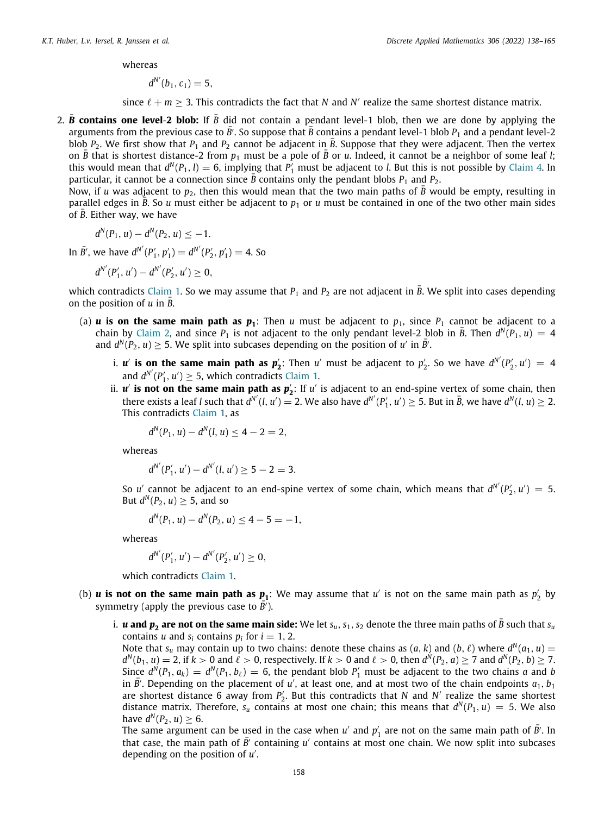whereas

$$
d^{N'}(b_1,c_1)=5,
$$

since  $\ell + m \geq 3$ . This contradicts the fact that *N* and *N'* realize the same shortest distance matrix.

2.  $\bar{B}$  contains one level-2 blob: If  $\bar{B}$  did not contain a pendant level-1 blob, then we are done by applying the arguments from the previous case to  $\bar{B}'$ . So suppose that  $\bar{B}$  contains a pendant level-1 blob  $P_1$  and a pendant level-2 blob  $P_2$ . We first show that  $P_1$  and  $P_2$  cannot be adjacent in  $\bar{B}$ . Suppose that they were adjacent. Then the vertex on  $\bar{B}$  that is shortest distance-2 from  $p_1$  must be a pole of  $\bar{B}$  or *u*. Indeed, it cannot be a neighbor of some leaf *l*; this would mean that  $d^N(P_1, l) = 6$ , implying that  $P'_1$  must be adjacent to *l*. But this is not possible by [Claim](#page-18-1) [4](#page-18-1). In particular, it cannot be a connection since  $\overline{B}$  contains only the pendant blobs  $P_1$  and  $P_2$ .

Now, if *u* was adjacent to  $p_2$ , then this would mean that the two main paths of  $\bar{B}$  would be empty, resulting in parallel edges in  $\bar{B}$ . So *u* must either be adjacent to  $p_1$  or *u* must be contained in one of the two other main sides of  $\overline{B}$ . Either way, we have

$$
d^N(P_1, u) - d^N(P_2, u) \le -1.
$$

In  $\bar{B}'$ , we have  $d^{N'}(P'_1, p'_1) = d^{N'}(P'_2, p'_1) = 4$ . So

$$
d^{N'}(P'_1, u') - d^{N'}(P'_2, u') \geq 0,
$$

which contradicts [Claim](#page-15-1) [1](#page-15-1). So we may assume that  $P_1$  and  $P_2$  are not adjacent in  $\bar{B}$ . We split into cases depending on the position of *u* in *B*.

- (a) *u* is on the same main path as  $p_1$ : Then *u* must be adjacent to  $p_1$ , since  $P_1$  cannot be adjacent to a chain by [Claim](#page-17-1) [2,](#page-17-1) and since  $P_1$  is not adjacent to the only pendant level-2 blob in  $\bar{B}$ . Then  $d^N(P_1, u) = 4$ and  $d^N(P_2, u) \geq 5$ . We split into subcases depending on the position of *u'* in  $\overline{B'}$ .
	- i. *u'* **is on the same main path as**  $p'_2$ **:** Then *u'* must be adjacent to  $p'_2$ . So we have  $d^{N'}(P'_2, u') = 4$ and  $d^{N'}(P'_1, u') \geq 5$  $d^{N'}(P'_1, u') \geq 5$  $d^{N'}(P'_1, u') \geq 5$ , which contradicts [Claim](#page-15-1) 1.
	- ii.  $u'$  is not on the same main path as  $p'_2$ : If  $u'$  is adjacent to an end-spine vertex of some chain, then there exists a leaf *l* such that  $\hat{d}^{N'}(l, u') = 2$ . We also have  $d^{N'}(P'_1, u') \ge 5$ . But in  $\bar{B}$ , we have  $d^{N}(l, u) \ge 2$ . This contradicts [Claim](#page-15-1) [1](#page-15-1), as

$$
d^N(P_1, u) - d^N(l, u) \le 4 - 2 = 2,
$$

whereas

$$
d^{N'}(P'_1, u') - d^{N'}(l, u') \ge 5 - 2 = 3.
$$

So *u'* cannot be adjacent to an end-spine vertex of some chain, which means that  $d^{N'}(P'_2, u') = 5$ . But  $d^N(P_2, u) \geq 5$ , and so

$$
d^N(P_1, u) - d^N(P_2, u) \le 4 - 5 = -1,
$$

whereas

$$
d^{N'}(P'_1, u') - d^{N'}(P'_2, u') \geq 0,
$$

which contradicts [Claim](#page-15-1) [1.](#page-15-1)

- (b) *u* **is not on the same main path as**  $p_1$ **:** We may assume that  $u'$  is not on the same main path as  $p'_2$  by symmetry (apply the previous case to  $\overline{B}$ <sup>†</sup>).
	- i. *u* **and**  $p_2$  **are not on the same main side:** We let  $s_u$ ,  $s_1$ ,  $s_2$  denote the three main paths of  $\bar{B}$  such that  $s_u$ contains *u* and  $s_i$  contains  $p_i$  for  $i = 1, 2$ .

Note that  $s_u$  may contain up to two chains: denote these chains as  $(a, k)$  and  $(b, \ell)$  where  $d^N(a_1, u) =$  $d^N(b_1, u) = 2$ , if  $k > 0$  and  $\ell > 0$ , respectively. If  $k > 0$  and  $\ell > 0$ , then  $d^N(P_2, a) \ge 7$  and  $d^N(P_2, b) \ge 7$ . Since  $d^N(P_1, a_k) = d^N(P_1, b_\ell) = 6$ , the pendant blob  $P'_1$  must be adjacent to the two chains *a* and *b* in  $\bar{B'}$ . Depending on the placement of  $u'$ , at least one, and at most two of the chain endpoints  $a_1$ ,  $b_1$ are shortest distance 6 away from  $P'_2$ . But this contradicts that *N* and *N'* realize the same shortest distance matrix. Therefore,  $s_u$  contains at most one chain; this means that  $d^N(P_1, u) = 5$ . We also have  $d^N(P_2, u) \geq 6$ .

The same argument can be used in the case when  $u'$  and  $p'_1$  are not on the same main path of  $\bar{B}'$ . In that case, the main path of  $\overline{B'}$  containing *u'* contains at most one chain. We now split into subcases depending on the position of *u* ′ .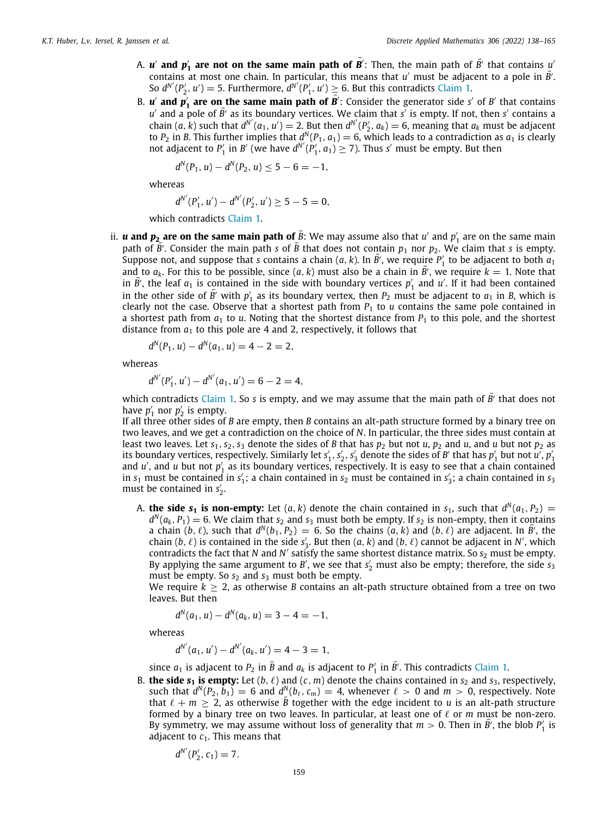- A.  $u'$  and  $p'_1$  are not on the same main path of  $\vec{B'}$ : Then, the main path of  $\vec{B'}$  that contains  $u'$ contains at most one chain. In particular, this means that  $u'$  must be adjacent to a pole in  $\bar{B}'$ . So  $d^{N'}(P'_2, u') = 5$ . Furthermore,  $d^{N'}(P'_1, u') \geq 6$  $d^{N'}(P'_1, u') \geq 6$  $d^{N'}(P'_1, u') \geq 6$ . But this contradicts [Claim](#page-15-1) 1.
- B. *u'* **and**  $p'_1$  **are on the same main path of**  $\overline{B}'$ **:** Consider the generator side *s'* of *B'* that contains  $u'$  and a pole of  $\bar{B'}$  as its boundary vertices. We claim that *s'* is empty. If not, then *s'* contains a chain  $(a, k)$  such that  $d^{N'}(a_1, u') = 2$ . But then  $d^{N'}(P'_2, a_k) = 6$ , meaning that  $a_k$  must be adjacent to  $P_2$  in *B*. This further implies that  $d^N(P_1, a_1) = 6$ , which leads to a contradiction as  $a_1$  is clearly not adjacent to  $P'_1$  in *B'* (we have  $d^{N'}(P'_1, a_1) \ge 7$ ). Thus *s'* must be empty. But then

$$
d^N(P_1, u) - d^N(P_2, u) \le 5 - 6 = -1,
$$

whereas

$$
d^{N'}(P'_1, u') - d^{N'}(P'_2, u') \ge 5 - 5 = 0,
$$

which contradicts [Claim](#page-15-1) [1](#page-15-1).

ii. *u* **and**  $p_2$  **are on the same main path of**  $\bar{B}$ : We may assume also that  $u'$  and  $p'_1$  are on the same main path of  $\overline{B}^7$ . Consider the main path *s* of  $\overline{B}$  that does not contain  $p_1$  nor  $p_2$ . We claim that *s* is empty. Suppose not, and suppose that *s* contains a chain  $(a, k)$ . In  $\overline{B'}$ , we require  $P'_1$  to be adjacent to both  $a_1$ and to  $a_k$ . For this to be possible, since  $(a, k)$  must also be a chain in  $\overline{B}'$ , we require  $k = 1$ . Note that in  $\overline{B'}$ , the leaf  $a_1$  is contained in the side with boundary vertices  $p'_1$  and  $u'$ . If it had been contained in the other side of  $\bar{B'}$  with  $p'_1$  as its boundary vertex, then  $P_2$  must be adjacent to  $a_1$  in *B*, which is clearly not the case. Observe that a shortest path from  $P_1$  to  $u$  contains the same pole contained in a shortest path from  $a_1$  to  $u$ . Noting that the shortest distance from  $P_1$  to this pole, and the shortest distance from  $a_1$  to this pole are 4 and 2, respectively, it follows that

$$
d^N(P_1, u) - d^N(a_1, u) = 4 - 2 = 2,
$$

whereas

$$
d^{N'}(P'_1, u') - d^{N'}(a_1, u') = 6 - 2 = 4,
$$

which contradicts [Claim](#page-15-1) [1](#page-15-1). So *s* is empty, and we may assume that the main path of  $\bar{B'}$  that does not have  $p'_1$  nor  $p'_2$  is empty.

If all three other sides of *B* are empty, then *B* contains an alt-path structure formed by a binary tree on two leaves, and we get a contradiction on the choice of *N*. In particular, the three sides must contain at least two leaves. Let  $s_1$ ,  $s_2$ ,  $s_3$  denote the sides of *B* that has  $p_2$  but not *u*,  $p_2$  and *u*, and *u* but not  $p_2$  as its boundary vertices, respectively. Similarly let  $s'_1$ ,  $s'_2$ ,  $s'_3$  denote the sides of *B'* that has  $p'_1$  but not  $u'$ ,  $p'_1$ and  $u'$ , and  $u$  but not  $p'_1$  as its boundary vertices, respectively. It is easy to see that a chain contained in  $s_1$  must be contained in  $s'_1$ ; a chain contained in  $s_2$  must be contained in  $s'_3$ ; a chain contained in  $s_3$ must be contained in  $s'_2$ .

A. **the side s<sub>1</sub> is non-empty:** Let  $(a, k)$  denote the chain contained in s<sub>1</sub>, such that  $d^N(a_1, P_2) =$  $d^N(a_k, P_1) = 6$ . We claim that  $s_2$  and  $s_3$  must both be empty. If  $s_2$  is non-empty, then it contains a chain  $(b, \ell)$ , such that  $d^N(b_1, P_2) = 6$ . So the chains  $(a, k)$  and  $(b, \ell)$  are adjacent. In *B'*, the chain  $(b, \ell)$  is contained in the side  $s'_3$ . But then  $(a, k)$  and  $(b, \ell)$  cannot be adjacent in *N'*, which contradicts the fact that *N* and *N* ′ satisfy the same shortest distance matrix. So *s*<sup>2</sup> must be empty. By applying the same argument to *B'*, we see that  $s'_2$  must also be empty; therefore, the side  $s_3$ must be empty. So  $s_2$  and  $s_3$  must both be empty.

We require  $k \geq 2$ , as otherwise *B* contains an alt-path structure obtained from a tree on two leaves. But then

$$
d^N(a_1, u) - d^N(a_k, u) = 3 - 4 = -1,
$$

whereas

 $d^{N'}(a_1, u') - d^{N'}(a_k, u') = 4 - 3 = 1,$ 

since  $a_1$  is adjacent to  $P_2$  in  $\bar{B}$  and  $a_k$  is adjacent to  $P'_1$  in  $\bar{B'}$ . This contradicts [Claim](#page-15-1) [1.](#page-15-1)

B. **the side**  $s_1$  **is empty:** Let  $(b, \ell)$  and  $(c, m)$  denote the chains contained in  $s_2$  and  $s_3$ , respectively, such that  $d^N(P_2, b_1) = 6$  and  $d^N(\mu_\ell, c_m) = 4$ , whenever  $\ell > 0$  and  $m > 0$ , respectively. Note that  $\ell + m \geq 2$ , as otherwise  $\bar{B}$  together with the edge incident to *u* is an alt-path structure formed by a binary tree on two leaves. In particular, at least one of ℓ or *m* must be non-zero. By symmetry, we may assume without loss of generality that  $m > 0$ . Then in  $\overline{B}'$ , the blob  $P'_1$  is adjacent to  $c_1$ . This means that

$$
d^{N'}(P'_2, c_1)=7.
$$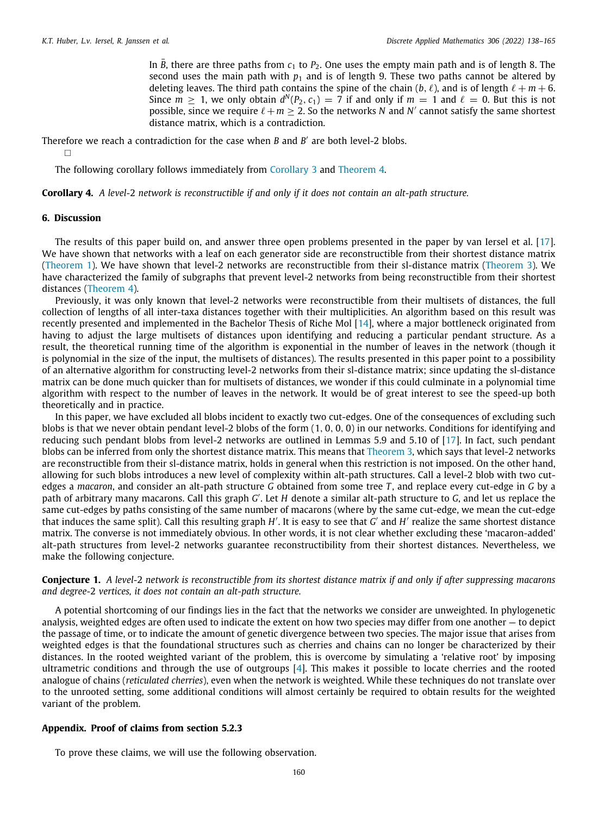In *B*, there are three paths from  $c_1$  to  $P_2$ . One uses the empty main path and is of length 8. The second uses the main path with  $p_1$  and is of length 9. These two paths cannot be altered by deleting leaves. The third path contains the spine of the chain  $(b, \ell)$ , and is of length  $\ell + m + 6$ . Since  $m \geq 1$ , we only obtain  $d^N(P_2, c_1) = 7$  if and only if  $m = 1$  and  $\ell = 0$ . But this is not possible, since we require  $\ell + m \geq 2$ . So the networks *N* and *N'* cannot satisfy the same shortest distance matrix, which is a contradiction.

Therefore we reach a contradiction for the case when *B* and *B'* are both level-2 blobs.  $\Box$ 

The following corollary follows immediately from [Corollary](#page-13-2) [3](#page-13-2) and [Theorem](#page-15-0) [4.](#page-15-0)

**Corollary 4.** *A level-*2 *network is reconstructible if and only if it does not contain an alt-path structure.*

#### **6. Discussion**

<span id="page-22-0"></span>The results of this paper build on, and answer three open problems presented in the paper by van Iersel et al. [\[17\]](#page-27-10). We have shown that networks with a leaf on each generator side are reconstructible from their shortest distance matrix [\(Theorem](#page-7-0) [1\)](#page-7-0). We have shown that level-2 networks are reconstructible from their sl-distance matrix [\(Theorem](#page-12-0) [3\)](#page-12-0). We have characterized the family of subgraphs that prevent level-2 networks from being reconstructible from their shortest distances ([Theorem](#page-15-0) [4](#page-15-0)).

Previously, it was only known that level-2 networks were reconstructible from their multisets of distances, the full collection of lengths of all inter-taxa distances together with their multiplicities. An algorithm based on this result was recently presented and implemented in the Bachelor Thesis of Riche Mol [\[14\]](#page-27-17), where a major bottleneck originated from having to adjust the large multisets of distances upon identifying and reducing a particular pendant structure. As a result, the theoretical running time of the algorithm is exponential in the number of leaves in the network (though it is polynomial in the size of the input, the multisets of distances). The results presented in this paper point to a possibility of an alternative algorithm for constructing level-2 networks from their sl-distance matrix; since updating the sl-distance matrix can be done much quicker than for multisets of distances, we wonder if this could culminate in a polynomial time algorithm with respect to the number of leaves in the network. It would be of great interest to see the speed-up both theoretically and in practice.

In this paper, we have excluded all blobs incident to exactly two cut-edges. One of the consequences of excluding such blobs is that we never obtain pendant level-2 blobs of the form (1, 0, 0, 0) in our networks. Conditions for identifying and reducing such pendant blobs from level-2 networks are outlined in Lemmas 5.9 and 5.10 of [[17](#page-27-10)]. In fact, such pendant blobs can be inferred from only the shortest distance matrix. This means that [Theorem](#page-12-0) [3,](#page-12-0) which says that level-2 networks are reconstructible from their sl-distance matrix, holds in general when this restriction is not imposed. On the other hand, allowing for such blobs introduces a new level of complexity within alt-path structures. Call a level-2 blob with two cutedges a *macaron*, and consider an alt-path structure *G* obtained from some tree *T* , and replace every cut-edge in *G* by a path of arbitrary many macarons. Call this graph *G'*. Let *H* denote a similar alt-path structure to *G*, and let us replace the same cut-edges by paths consisting of the same number of macarons (where by the same cut-edge, we mean the cut-edge that induces the same split). Call this resulting graph *H'*. It is easy to see that *G'* and *H'* realize the same shortest distance matrix. The converse is not immediately obvious. In other words, it is not clear whether excluding these 'macaron-added' alt-path structures from level-2 networks guarantee reconstructibility from their shortest distances. Nevertheless, we make the following conjecture.

**Conjecture 1.** *A level-*2 *network is reconstructible from its shortest distance matrix if and only if after suppressing macarons and degree-*2 *vertices, it does not contain an alt-path structure.*

A potential shortcoming of our findings lies in the fact that the networks we consider are unweighted. In phylogenetic analysis, weighted edges are often used to indicate the extent on how two species may differ from one another — to depict the passage of time, or to indicate the amount of genetic divergence between two species. The major issue that arises from weighted edges is that the foundational structures such as cherries and chains can no longer be characterized by their distances. In the rooted weighted variant of the problem, this is overcome by simulating a 'relative root' by imposing ultrametric conditions and through the use of outgroups [\[4\]](#page-27-14). This makes it possible to locate cherries and the rooted analogue of chains (*reticulated cherries*), even when the network is weighted. While these techniques do not translate over to the unrooted setting, some additional conditions will almost certainly be required to obtain results for the weighted variant of the problem.

#### **Appendix. Proof of claims from section 5.2.3**

<span id="page-22-1"></span>To prove these claims, we will use the following observation.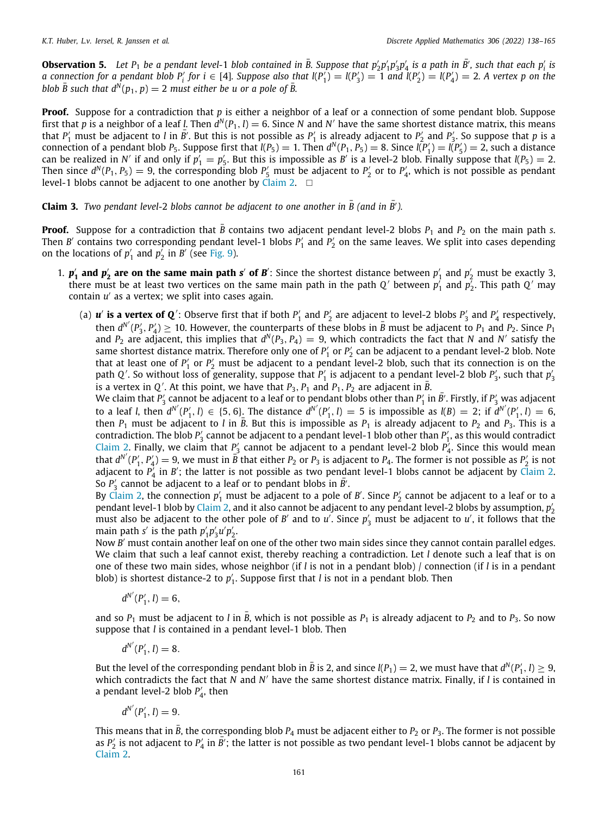**Observation 5.** Let  $P_1$  be a pendant level-1 blob contained in  $\bar{B}$ . Suppose that  $p'_2p'_1p'_3p'_4$  is a path in  $\bar{B}'$ , such that each  $p'_i$  is a connection for a pendant blob  $P'_i$  for  $i \in [4]$ . Suppose also that  $I(P'_1) = I(P'_3) = 1$  and  $I(P'_2) = I(P'_4) = 2$ . A vertex p on the *blob*  $\overline{B}$  *such that*  $d^{\overline{N}}(p_1, p) = 2$  *must either be u or a pole of*  $\overline{B}$ *.* 

**Proof.** Suppose for a contradiction that *p* is either a neighbor of a leaf or a connection of some pendant blob. Suppose first that p is a neighbor of a leaf *l*. Then  $d^N(P_1, l) = 6$ . Since N and N' have the same shortest distance matrix, this means that  $P'_1$  must be adjacent to *l* in  $\bar{B'}$ . But this is not possible as  $P'_1$  is already adjacent to  $P'_2$  and  $P'_3$ . So suppose that *p* is a connection of a pendant blob *P*<sub>5</sub>. Suppose first that  $l(P_5) = 1$ . Then  $d^N(P_1, P_5) = 8$ . Since  $l(P'_1) = l(P'_5) = 2$ , such a distance can be realized in *N'* if and only if  $p'_1 = p'_5$ . But this is impossible as *B'* is a level-2 blob. Finally suppose that  $l(P_5) = 2$ . Then since  $d^N(P_1, P_5) = 9$ , the corresponding blob  $P'_5$  must be adjacent to  $P'_2$  or to  $P'_4$ , which is not possible as pendant level-1 blobs cannot be adjacent to one another by [Claim](#page-17-1) [2](#page-17-1).  $\square$ 

**Claim 3.** *Two pendant level-2 blobs cannot be adjacent to one another in*  $\overline{B}$  *(and in*  $\overline{B}'$ *).* 

**Proof.** Suppose for a contradiction that *B* contains two adjacent pendant level-2 blobs  $P_1$  and  $P_2$  on the main path *s*. Then *B'* contains two corresponding pendant level-1 blobs  $P'_1$  and  $P'_2$  on the same leaves. We split into cases depending on the locations of  $p'_1$  and  $p'_2$  in *B'* (see [Fig.](#page-25-0) [9](#page-25-0)).

- 1.  $p'_1$  and  $p'_2$  are on the same main path *s'* of *B'*: Since the shortest distance between  $p'_1$  and  $p'_2$  must be exactly 3, there must be at least two vertices on the same main path in the path  $Q'$  between  $p'_1$  and  $p'_2$ . This path  $Q'$  may contain *u* ′ as a vertex; we split into cases again.
	- (a)  $u'$  is a vertex of Q': Observe first that if both  $P'_1$  and  $P'_2$  are adjacent to level-2 blobs  $P'_3$  and  $P'_4$  respectively, then  $d^{N'}(P'_3, P'_4) \ge 10$ . However, the counterparts of these blobs in  $\bar{B}$  must be adjacent to  $P_1$  and  $P_2$ . Since  $P_1$ and  $P_2$  are adjacent, this implies that  $d^N(P_3, P_4) = 9$ , which contradicts the fact that *N* and *N'* satisfy the same shortest distance matrix. Therefore only one of  $P'_1$  or  $P'_2$  can be adjacent to a pendant level-2 blob. Note that at least one of  $P'_1$  or  $P'_2$  must be adjacent to a pendant level-2 blob, such that its connection is on the path Q'. So without loss of generality, suppose that  $P'_1$  is adjacent to a pendant level-2 blob  $P'_3$ , such that  $p'_3$ is a vertex in *Q'*. At this point, we have that  $P_3$ ,  $P_1$  and  $P_1$ ,  $P_2$  are adjacent in  $\overline{B}$ .

We claim that  $P'_3$  cannot be adjacent to a leaf or to pendant blobs other than  $P'_1$  in  $\bar{B}'$ . Firstly, if  $P'_3$  was adjacent to a leaf *l*, then  $d^{N'}(P'_1, l) \in \{5, 6\}$ . The distance  $d^{N'}(P'_1, l) = 5$  is impossible as  $l(B) = 2$ ; if  $d^{N'}(P'_1, l) = 6$ , then  $P_1$  must be adjacent to *l* in  $\bar{B}$ . But this is impossible as  $P_1$  is already adjacent to  $P_2$  and  $P_3$ . This is a contradiction. The blob  $P'_3$  cannot be adjacent to a pendant level-1 blob other than  $P'_1$ , as this would contradict [Claim](#page-17-1) [2](#page-17-1). Finally, we claim that  $P'_3$  cannot be adjacent to a pendant level-2 blob  $P'_4$ . Since this would mean that  $d^{N'}(P'_1, P'_4) = 9$ , we must in  $\vec{B}$  that either  $P_2$  or  $P_3$  is adjacent to  $P_4$ . The former is not possible as  $P'_2$  is not adjacent to  $P_4'$  in *B'*; the latter is not possible as two pendant level-1 blobs cannot be adjacent by [Claim](#page-17-1) [2.](#page-17-1) So  $P'_3$  cannot be adjacent to a leaf or to pendant blobs in  $\bar{B}'$ .

By [Claim](#page-17-1) [2](#page-17-1), the connection  $p'_1$  must be adjacent to a pole of  $B'$ . Since  $P'_2$  cannot be adjacent to a leaf or to a pendant level-1 blob by [Claim](#page-17-1) [2](#page-17-1), and it also cannot be adjacent to any pendant level-2 blobs by assumption, *p* ′ 2 must also be adjacent to the other pole of *B'* and to *u'*. Since  $p'_3$  must be adjacent to *u'*, it follows that the main path *s'* is the path  $p'_1 p'_3 u' p'_2$ .

Now *B'* must contain another leaf on one of the other two main sides since they cannot contain parallel edges. We claim that such a leaf cannot exist, thereby reaching a contradiction. Let *l* denote such a leaf that is on one of these two main sides, whose neighbor (if *l* is not in a pendant blob) / connection (if *l* is in a pendant blob) is shortest distance-2 to  $p'_1$ . Suppose first that *l* is not in a pendant blob. Then

$$
d^{N'}(P'_1, l) = 6,
$$

and so  $P_1$  must be adjacent to *l* in  $\bar{B}$ , which is not possible as  $P_1$  is already adjacent to  $P_2$  and to  $P_3$ . So now suppose that *l* is contained in a pendant level-1 blob. Then

$$
d^{N'}(P'_1, l) = 8.
$$

But the level of the corresponding pendant blob in  $\bar{B}$  is 2, and since *l*(*P*<sub>1</sub>) = 2, we must have that  $d^N(P'_1, l) \geq 9$ , which contradicts the fact that *N* and *N* ′ have the same shortest distance matrix. Finally, if *l* is contained in a pendant level-2 blob  $P'_4$ , then

$$
d^{N'}(P'_1, l) = 9.
$$

This means that in  $\bar{B}$ , the corresponding blob  $P_4$  must be adjacent either to  $P_2$  or  $P_3$ . The former is not possible as  $P'_2$  is not adjacent to  $P'_4$  in  $\overline{B'}$ ; the latter is not possible as two pendant level-1 blobs cannot be adjacent by [Claim](#page-17-1) [2.](#page-17-1)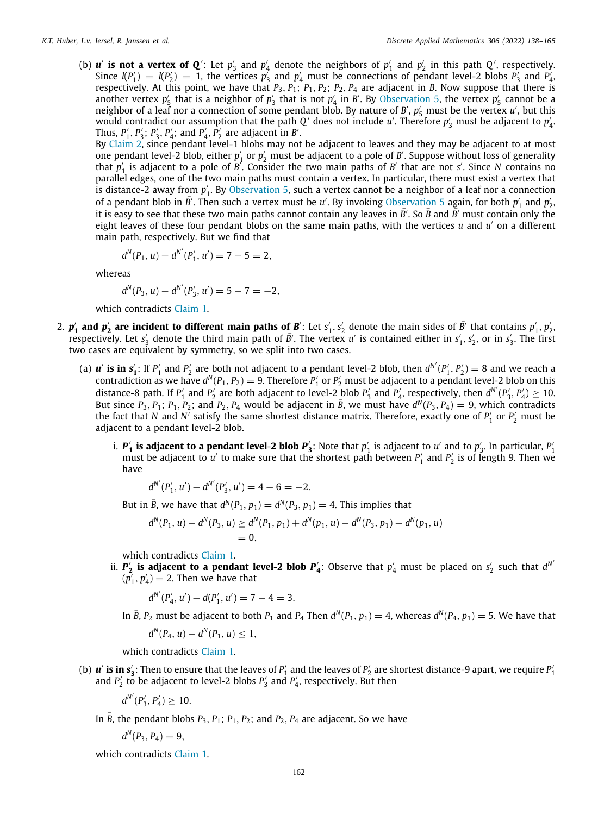(b) *u'* **is not a vertex of Q'**: Let  $p'_3$  and  $p'_4$  denote the neighbors of  $p'_1$  and  $p'_2$  in this path Q', respectively. Since  $l(P'_1) = l(P'_2) = 1$ , the vertices  $p'_3$  and  $p'_4$  must be connections of pendant level-2 blobs  $P'_3$  and  $P'_4$ respectively. At this point, we have that  $P_3$ ,  $P_1$ ;  $P_1$ ,  $P_2$ ;  $P_2$ ,  $P_4$  are adjacent in *B*. Now suppose that there is another vertex  $p'_5$  $p'_5$  that is a neighbor of  $p'_3$  that is not  $p'_4$  in *B'*. By [Observation](#page-22-1) 5, the vertex  $p'_5$  cannot be a neighbor of a leaf nor a connection of some pendant blob. By nature of *B'*,  $p'_5$  must be the vertex *u'*, but this would contradict our assumption that the path  $Q'$  does not include  $u'$ . Therefore  $p'_3$  must be adjacent to  $p'_4$ . Thus,  $P'_1$ ,  $P'_3$ ;  $P'_3$ ,  $P'_4$ ; and  $P'_4$ ,  $P'_2$  are adjacent in *B'*.

By [Claim](#page-17-1) [2](#page-17-1), since pendant level-1 blobs may not be adjacent to leaves and they may be adjacent to at most one pendant level-2 blob, either  $p'_1$  or  $p'_2$  must be adjacent to a pole of *B'*. Suppose without loss of generality that  $p'_1$  is adjacent to a pole of  $B'$ . Consider the two main paths of  $B'$  that are not *s'*. Since *N* contains no parallel edges, one of the two main paths must contain a vertex. In particular, there must exist a vertex that is distance-2 away from p'<sub>1</sub>. By [Observation](#page-22-1) [5,](#page-22-1) such a vertex cannot be a neighbor of a leaf nor a connection of a pendant blob in  $\bar{B}'$ . Then such a vertex must be *u'*. By invoking [Observation](#page-22-1) [5](#page-22-1) again, for both  $p'_1$  and  $p'_2$ . it is easy to see that these two main paths cannot contain any leaves in  $\bar{B}'$ . So  $\bar{B}$  and  $\bar{B}'$  must contain only the eight leaves of these four pendant blobs on the same main paths, with the vertices *u* and *u* ′ on a different main path, respectively. But we find that

$$
d^N(P_1, u) - d^{N'}(P'_1, u') = 7 - 5 = 2,
$$

whereas

$$
d^N(P_3, u) - d^{N'}(P'_3, u') = 5 - 7 = -2,
$$

which contradicts [Claim](#page-15-1) [1](#page-15-1).

- 2.  $p'_1$  and  $p'_2$  are incident to different main paths of B': Let  $s'_1,s'_2$  denote the main sides of  $\bar{B'}$  that contains  $p'_1,p'_2$ . respectively. Let *s*<sup> $'$ </sup> denote the third main path of  $\bar{B}'$ . The vertex *u'* is contained either in *s*<sup> $'$ </sup>, *s*<sub> $'$ </sub>, or in *s*<sup> $'$ </sup>,. The first two cases are equivalent by symmetry, so we split into two cases.
	- (a)  $u'$  is in  $s'_1$ : If  $P'_1$  and  $P'_2$  are both not adjacent to a pendant level-2 blob, then  $d^{N'}(P'_1, P'_2) = 8$  and we reach a contradiction as we have  $d^N(P_1, P_2) = 9$ . Therefore  $P'_1$  or  $P'_2$  must be adjacent to a pendant level-2 blob on this distance-8 path. If  $P'_1$  and  $P'_2$  are both adjacent to level-2 blob  $P'_3$  and  $P'_4$ , respectively, then  $d^{N'}(P'_3, P'_4) \ge 10$ . But since  $P_3$ ,  $P_1$ ;  $P_2$ ; and  $P_2$ ,  $P_4$  would be adjacent in  $\bar{B}$ , we must have  $d^N(P_3, P_4) = 9$ , which contradicts the fact that *N* and *N'* satisfy the same shortest distance matrix. Therefore, exactly one of  $P'_1$  or  $P'_2$  must be adjacent to a pendant level-2 blob.
		- **i.**  $P'_1$  **is adjacent to a pendant level-2 blob**  $P'_3$ : Note that  $p'_1$  is adjacent to  $u'$  and to  $p'_3$ . In particular,  $P'_1$ must be adjacent to *u'* to make sure that the shortest path between  $P'_1$  and  $P'_2$  is of length 9. Then we have

$$
d^{N'}(P'_1, u') - d^{N'}(P'_3, u') = 4 - 6 = -2.
$$

But in  $\bar{B}$ , we have that  $d^N(P_1, p_1) = d^N(P_3, p_1) = 4$ . This implies that

$$
d^N(P_1, u) - d^N(P_3, u) \ge d^N(P_1, p_1) + d^N(p_1, u) - d^N(P_3, p_1) - d^N(p_1, u) = 0,
$$

which contradicts [Claim](#page-15-1) [1.](#page-15-1)

ii.  $P'_2$  is adjacent to a pendant level-2 blob  $P'_4$ : Observe that  $p'_4$  must be placed on  $s'_2$  such that  $d^{N'}$  $(p_1^r, p_4^r) = 2$ . Then we have that

$$
d^{N'}(P'_4, u') - d(P'_1, u') = 7 - 4 = 3.
$$

In  $\bar{B}$ ,  $P_2$  must be adjacent to both  $P_1$  and  $P_4$  Then  $d^N(P_1, p_1) = 4$ , whereas  $d^N(P_4, p_1) = 5$ . We have that

$$
d^N(P_4, u) - d^N(P_1, u) \leq 1,
$$

which contradicts [Claim](#page-15-1) [1.](#page-15-1)

(b)  $u'$  is in  $s'_3$ : Then to ensure that the leaves of  $P'_1$  and the leaves of  $P'_2$  are shortest distance-9 apart, we require  $P'_1$ and  $P'_2$  to be adjacent to level-2 blobs  $P'_3$  and  $P'_4$ , respectively. But then

$$
d^{N'}(P'_3, P'_4) \geq 10.
$$

In *B*, the pendant blobs  $P_3$ ,  $P_1$ ;  $P_1$ ,  $P_2$ ; and  $P_2$ ,  $P_4$  are adjacent. So we have

$$
d^N(P_3, P_4) = 9,
$$

which contradicts [Claim](#page-15-1) [1](#page-15-1).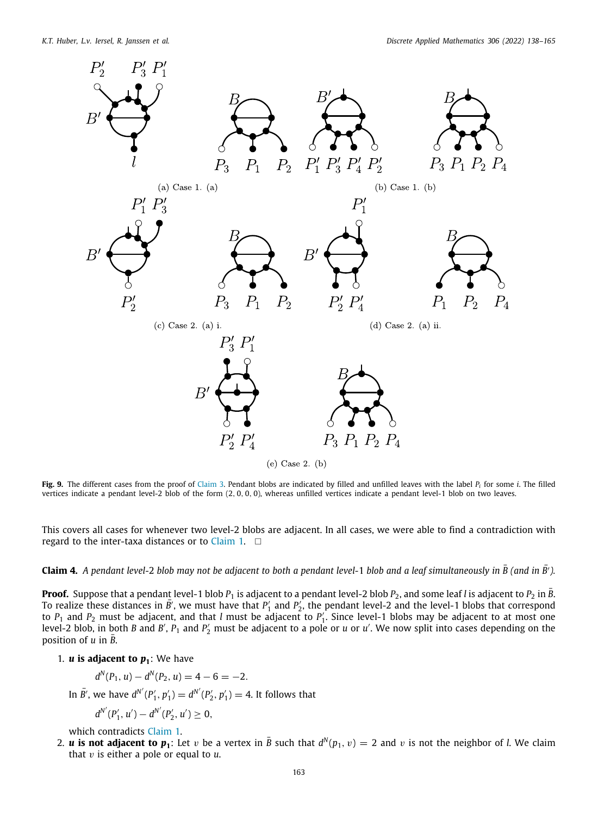

<span id="page-25-0"></span>**Fig. 9.** The different cases from the proof of [Claim](#page-18-0) [3.](#page-18-0) Pendant blobs are indicated by filled and unfilled leaves with the label *P<sup>i</sup>* for some *i*. The filled vertices indicate a pendant level-2 blob of the form (2, 0, 0, 0), whereas unfilled vertices indicate a pendant level-1 blob on two leaves.

This covers all cases for whenever two level-2 blobs are adjacent. In all cases, we were able to find a contradiction with regard to the inter-taxa distances or to [Claim](#page-15-1) [1.](#page-15-1)  $\square$ 

**Claim 4.** *A pendant level-*<sup>2</sup> *blob may not be adjacent to both a pendant level-*<sup>1</sup> *blob and a leaf simultaneously in B (and in* ¯ *<sup>B</sup>*¯′ *).*

**Proof.** Suppose that a pendant level-1 blob  $P_1$  is adjacent to a pendant level-2 blob  $P_2$ , and some leaf *l* is adjacent to  $P_2$  in *B*. To realize these distances in  $\bar{B}'$ , we must have that  $P'_1$  and  $P'_2$ , the pendant level-2 and the level-1 blobs that correspond to  $P_1$  and  $P_2$  must be adjacent, and that *l* must be adjacent to  $P'_1$ . Since level-1 blobs may be adjacent to at most one level-2 blob, in both *B* and *B'*,  $P_1$  and  $P'_2$  must be adjacent to a pole or *u* or *u'*. We now split into cases depending on the position of  $u$  in  $\overline{B}$ .

1.  $\boldsymbol{u}$  is adjacent to  $\boldsymbol{p}_1$ : We have

$$
d^N(P_1, u) - d^N(P_2, u) = 4 - 6 = -2.
$$

In  $\bar{B'}$ , we have  $d^{N'}(P'_1, p'_1) = d^{N'}(P'_2, p'_1) = 4$ . It follows that

$$
d^{N'}(P'_1, u') - d^{N'}(P'_2, u') \geq 0,
$$

which contradicts [Claim](#page-15-1) [1](#page-15-1).

2. *u* is not adjacent to  $p_1$ : Let v be a vertex in  $\bar{B}$  such that  $d^N(p_1, v) = 2$  and v is not the neighbor of *l*. We claim that v is either a pole or equal to *u*.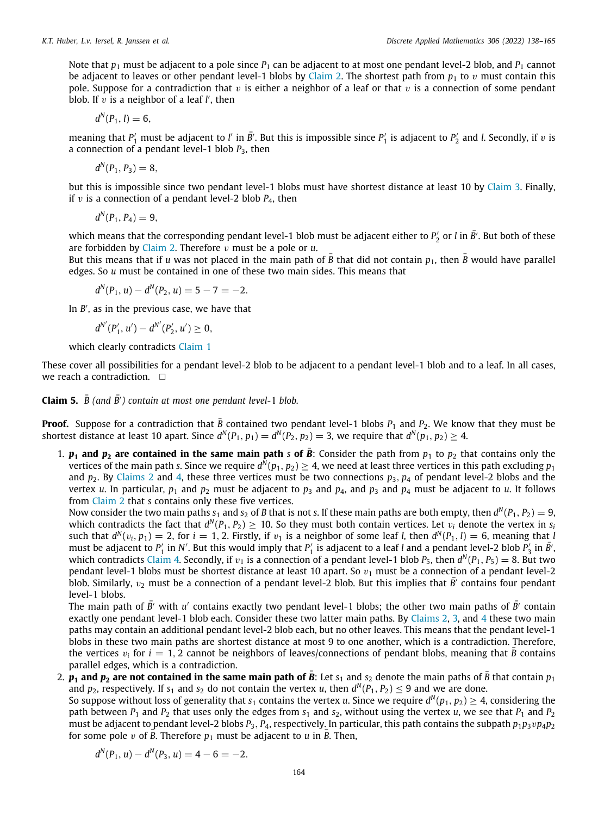Note that  $p_1$  must be adjacent to a pole since  $P_1$  can be adjacent to at most one pendant level-2 blob, and  $P_1$  cannot be adjacent to leaves or other pendant level-1 blobs by [Claim](#page-17-1) [2.](#page-17-1) The shortest path from  $p_1$  to v must contain this pole. Suppose for a contradiction that  $v$  is either a neighbor of a leaf or that  $v$  is a connection of some pendant blob. If  $v$  is a neighbor of a leaf  $l'$ , then

$$
d^N(P_1, l) = 6,
$$

meaning that  $P'_1$  must be adjacent to *l'* in  $\bar{B'}$ . But this is impossible since  $P'_1$  is adjacent to  $P'_2$  and *l*. Secondly, if *v* is a connection of a pendant level-1 blob  $P_3$ , then

$$
d^N(P_1, P_3) = 8,
$$

but this is impossible since two pendant level-1 blobs must have shortest distance at least 10 by [Claim](#page-18-0) [3.](#page-18-0) Finally, if  $v$  is a connection of a pendant level-2 blob  $P_4$ , then

$$
d^N(P_1, P_4) = 9,
$$

which means that the corresponding pendant level-1 blob must be adjacent either to  $P_2'$  or *l* in  $\bar{B'}$ . But both of these are forbidden by [Claim](#page-17-1) [2](#page-17-1). Therefore v must be a pole or *u*.

But this means that if *u* was not placed in the main path of  $\bar{B}$  that did not contain  $p_1$ , then  $\bar{B}$  would have parallel edges. So *u* must be contained in one of these two main sides. This means that

$$
d^N(P_1, u) - d^N(P_2, u) = 5 - 7 = -2.
$$

In *B'*, as in the previous case, we have that

$$
d^{N'}(P'_1, u') - d^{N'}(P'_2, u') \geq 0,
$$

which clearly contradicts [Claim](#page-15-1) [1](#page-15-1)

These cover all possibilities for a pendant level-2 blob to be adjacent to a pendant level-1 blob and to a leaf. In all cases, we reach a contradiction.  $\square$ 

**Claim 5.**  $\bar{B}$  (and  $\bar{B'}$ ) contain at most one pendant level-1 blob.

**Proof.** Suppose for a contradiction that *B* contained two pendant level-1 blobs  $P_1$  and  $P_2$ . We know that they must be shortest distance at least 10 apart. Since  $d^N(P_1, p_1) = d^N(P_2, p_2) = 3$ , we require that  $d^N(p_1, p_2) \geq 4$ .

1.  $p_1$  and  $p_2$  are contained in the same main path *s* of  $\vec{B}$ : Consider the path from  $p_1$  to  $p_2$  that contains only the vertices of the main path *s.* Since we require  $d^N(p_1,p_2)\geq 4$ , we need at least three vertices in this path excluding  $p_1$ and  $p_2$  $p_2$ . By [Claims](#page-17-1) 2 and [4](#page-18-1), these three vertices must be two connections  $p_3$ ,  $p_4$  of pendant level-2 blobs and the vertex *u*. In particular,  $p_1$  and  $p_2$  must be adjacent to  $p_3$  and  $p_4$ , and  $p_3$  and  $p_4$  must be adjacent to *u*. It follows from [Claim](#page-17-1) [2](#page-17-1) that *s* contains only these five vertices.

Now consider the two main paths  $s_1$  and  $s_2$  of *B* that is not *s*. If these main paths are both empty, then  $d^N(P_1,P_2)=9$ , which contradicts the fact that  $d^N(P_1,P_2)\geq 10.$  So they must both contain vertices. Let  $v_i$  denote the vertex in  $s_i$ such that  $d^N(v_i, p_1) = 2$ , for  $i = 1, 2$ . Firstly, if  $v_1$  is a neighbor of some leaf *l*, then  $d^N(P_1, l) = 6$ , meaning that *l* must be adjacent to  $P'_1$  in *N'*. But this would imply that  $P'_1$  is adjacent to a leaf *l* and a pendant level-2 blob  $P'_3$  in  $\bar{B'}_3$ which contradicts [Claim](#page-18-1) [4](#page-18-1). Secondly, if  $v_1$  is a connection of a pendant level-1 blob  $P_5$ , then  $d^N(P_1, P_5) = 8$ . But two pendant level-1 blobs must be shortest distance at least 10 apart. So  $v_1$  must be a connection of a pendant level-2 blob. Similarly,  $v_2$  must be a connection of a pendant level-2 blob. But this implies that *B'* contains four pendant level-1 blobs.

The main path of  $\bar{B'}$  with  $u'$  contains exactly two pendant level-1 blobs; the other two main paths of  $\bar{B'}$  contain exactly one pendant level-1 blob each. Consider these two latter main paths. By [Claims](#page-17-1) [2,](#page-17-1) [3,](#page-18-0) and [4](#page-18-1) these two main paths may contain an additional pendant level-2 blob each, but no other leaves. This means that the pendant level-1 blobs in these two main paths are shortest distance at most 9 to one another, which is a contradiction. Therefore, the vertices  $v_i$  for  $i = 1, 2$  cannot be neighbors of leaves/connections of pendant blobs, meaning that  $\bar{B}$  contains parallel edges, which is a contradiction.

2.  $p_1$  and  $p_2$  are not contained in the same main path of  $\vec{B}$ : Let  $s_1$  and  $s_2$  denote the main paths of  $\vec{B}$  that contain  $p_1$ and  $p_2$ , respectively. If  $s_1$  and  $s_2$  do not contain the vertex *u*, then  $d^N(P_1, P_2) \leq 9$  and we are done.

So suppose without loss of generality that  $s_1$  contains the vertex *u*. Since we require  $d^N(p_1, p_2) \geq 4$ , considering the path between  $P_1$  and  $P_2$  that uses only the edges from  $s_1$  and  $s_2$ , without using the vertex *u*, we see that  $P_1$  and  $P_2$ must be adjacent to pendant level-2 blobs  $P_3$ ,  $P_4$ , respectively. In particular, this path contains the subpath  $p_1p_3vp_4p_2$ for some pole v of *B*. Therefore  $p_1$  must be adjacent to *u* in *B*. Then,

$$
d^N(P_1, u) - d^N(P_3, u) = 4 - 6 = -2.
$$